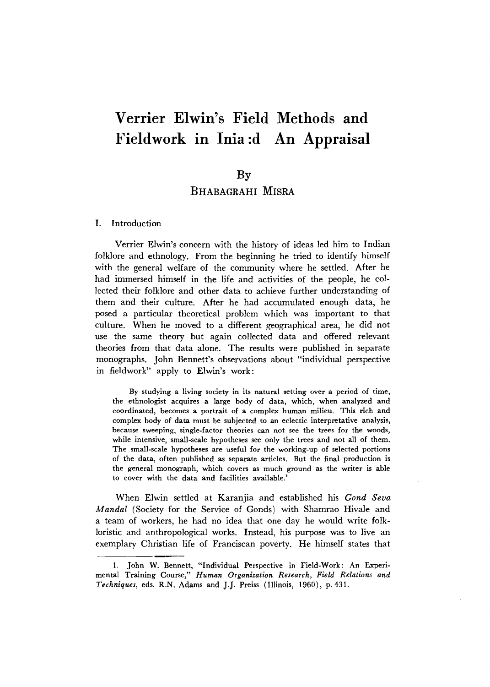# Verrier Elwin's Field Methods and Fieldwork in Inia :d An Appraisal

# By

# **BHABAGRAHI MISRA**

#### I. Introduction

Verrier Elwin's concern with the history of ideas led him to Indian folklore and ethnology. From the beginning he tried to identify himself with the general welfare of the community where he settled. After he had immersed himself in the life and activities of the people, he collected their folklore and other data to achieve further understanding of them and their culture. After he had accumulated enough data, he posed a particular theoretical problem which was important to that culture. When he moved to a different geographical area, he did not use the same theory but again collected data and offered relevant theories from that data alone. The results were published in separate monographs. John Bennett's observations about "individual perspective in fieldwork" apply to Elwin's work:

By studying a living society in its natural setting over a period of time, the ethnologist acquires a large body of data, which, when analyzed and coordinated, becomes a portrait of a complex human milieu. This rich and complex body of data must be subjected to an eclectic interpretative analysis, because sweeping, single-factor theories can not see the trees for the woods, while intensive, small-scale hypotheses see only the trees and not all of them. The small-scale hypotheses are useful for the working-up of selected portions of the data, often published as separate articles. But the final production is the general monograph, which covers as much ground as the writer is able to cover with the data and facilities available.<sup>1</sup>

When Elwin settled at Karanjia and established his *Gond Seva Mandal* (Society for the Service of Gonds) with Shamrao Hivale and a team of workers, he had no idea that one day he would write folkloristic and anthropological works. Instead, his purpose was to live an exemplary Christian life of Franciscan poverty. He himself states that

<sup>1.</sup> John W. Bennett, "Individual Perspective in Field-Work: An Experimental Training Course," *Human Organization Research, Field Relations and* Techniques, eds. R.N. Adams and J.J. Preiss (Illinois, 1960), p. 431.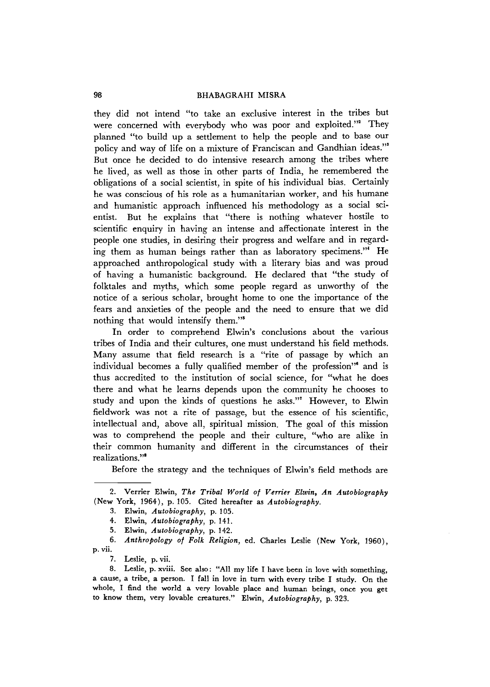they did not intend "to take an exclusive interest in the tribes but were concerned with everybody who was poor and exploited."<sup>2</sup> They planned "to build up a settlement to help the people and to base our policy and way of life on a mixture of Franciscan and Gandhian ideas."3 But once he decided to do intensive research among the tribes where he lived, as well as those in other parts of India, he remembered the obligations of a social scientist,in spite of his individual bias. Certainly he was conscious of his role as a humanitarian worker, and his humane and humanistic approach influenced his methodology as a social scientist. But he explains that "there is nothing whatever hostile to scientific enquiry in having an intense and affectionate interest in the people one studies, in desiring their progress and welfare and in regarding them as human beings rather than as laboratory specimens."<sup>4</sup> He approached anthropological study with a literary bias and was proud of having a humanistic background. He declared that "the study of folktales and myths, which some people regard as unworthy of the notice of a serious scholar, brought home to one the importance of the fears and anxieties of the people and the need to ensure that we did nothing that would intensify them."5

In order to comprehend Elwin's conclusions about the various tribes of India and their cultures, one must understand his field methods. Many assume that field research is a "rite of passage by which an individual becomes a fully qualified member of the profession" and is thus accredited to the institution of social science, for "what he does there and what he learns depends upon the community he chooses to study and upon the kinds of questions he asks."<sup>7</sup> However, to Elwin fieldwork was not a rite of passage, but the essence of his scientific, intellectual and, above all, spiritual mission. The goal of this mission was to comprehend the people and their culture, "who are alike in their common humanity and different in the circumstances of their realizations.',\*

Before the strategy and the techniques of Elwin's field methods are

<sup>2.</sup> Verrier Elwin, *The Tribal World of Verrier Elwin, An Autobiography* (New York, 1964), p. 105. Cited hereafter as *Autobiography.*

<sup>3.</sup> Elwin, *Autobiography* p. 105.

<sup>4.</sup> Elwin, *Autobiography* p. 141.

<sup>5.</sup> Elwin, *Autobiography,* p. 142.

<sup>6.</sup> *Anthropology of Folk Religion* ed. Charles Leslie (New York, 1960), p. vii.

<sup>7.</sup> Leslie, p. vii.

<sup>8.</sup> Leslie, p. xviii. See also: "All my life I have been in love with something, a cause, a tribe, a person. I fall in love in turn with every tribe I study. On the whole, I find the world a very lovable place and human beings, once you get to know them, very lovable creatures." Elwin, *Autobiography,* p. 323.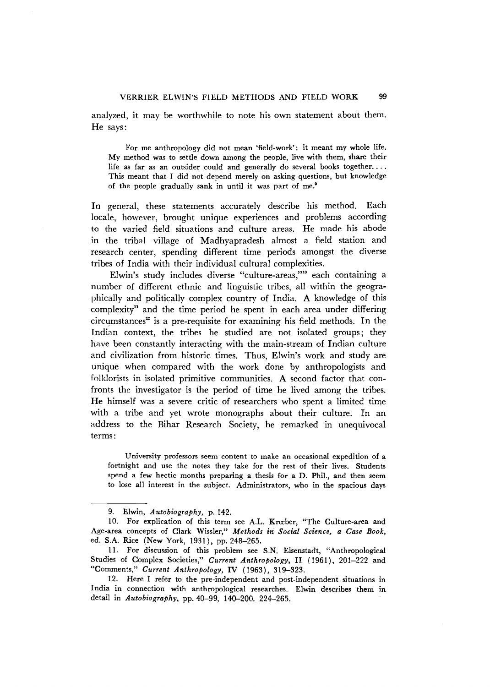analyzed, it may be worthwhile to note his own statement about them. He says:

For me anthropology did not mean 'field-work': it meant my whole life. My method was to settle down among the people, live with them, share their life as far as an outsider could and generally do several books together.... This meant that I did not depend merely on asking questions, but knowledge of the people gradually sank in until it was part of me.<sup>9</sup>

In general, these statements accurately describe his method. Each locale, however, brought unique experiences and problems according to the varied field situations and culture areas. He made his abode in the tribal village of Madhyapradesh almost a field station and research center, spending different time periods amongst the diverse tribes of India with their individual cultural complexities.

Elwin's study includes diverse "culture-areas,"<sup>10</sup> each containing a number of different ethnic and linguistic tribes, all within the geographically and politically complex country of India. A knowledge of this  $complexity<sup>11</sup>$  and the time period he spent in each area under differing  $circ$  is a pre-requisite for examining his field methods. In the Indian context, the tribes he studied are not isolated groups; they have been constantly interacting with the main-stream of Indian culture and civilization from historic times. Thus, Elwin's work and study are unique when compared with the work done by anthropologists and folklorists in isolated primitive communities. A second factor that confronts the investigator is the period of time he lived among the tribes. He himself was a severe critic of researchers who spent a limited time with a tribe and yet wrote monographs about their culture. In an address to the Bihar Research Society, he remarked in unequivocal terms:

University professors seem content to make an occasional expedition of a fortnight and use the notes they take for the rest of their lives. Students spend a few hectic months preparing a thesis for a D. Phil., and then seem to lose all interest in the subject. Administrators, who in the spacious days

<sup>9.</sup> Elwin, *Autobiography,* p. 142.

<sup>10.</sup> For explication of this term see A.L. Kroeber, "The Culture-area and Age-area concepts of Clark Wissler," Methods in Social Science, a Case Book, ed. S.A. Rice (New York, 1931), pp. 248-265.

<sup>11.</sup> For discussion of this problem see S.N. Eisenstadt, "Anthropological Studies of Complex Societies," *Current Anthropology*, II (1961), 201-222 and "Comments," Current Anthropology, IV (1963), 319-323.

<sup>12.</sup> Here I refer to the pre-independent and post-independent situations in India in connection with anthropological researches. Elwin describes them in detail in *Autobiography*, pp. 40-99, 140-200, 224-265.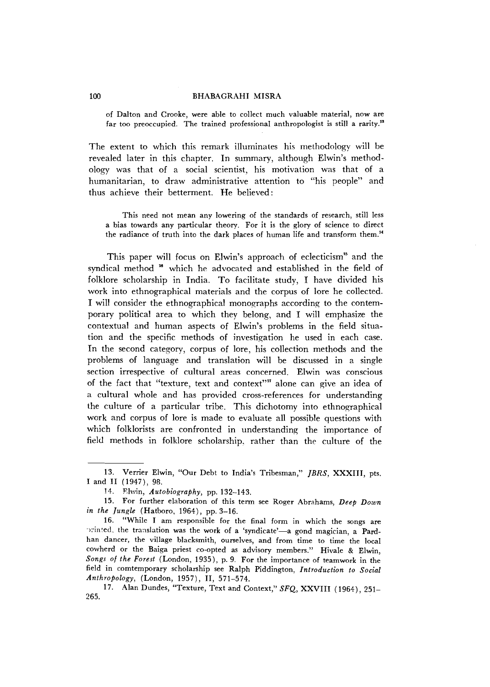of Dalton and Grooke, were able to collect much valuable material, now are far too preoccupied. The trained professional anthropologist is still a rarity.<sup>18</sup>

The extent to which this remark illuminates his methodology will be revealed later in this chapter. In summary, although Elwin's methodology was that of a social scientist, his motivation was that of a humanitarian, to draw administrative attention to "his people" and thus achieve their betterment. He believed:

This need not mean any lowering of the standards of research, still less a bias towards any particular theory. For it is the glory of science to direct the radiance of truth into the dark places of human life and transform them.<sup>14</sup>

This paper will focus on Elwin's approach of eclecticism<sup>15</sup> and the syndical method <sup>16</sup> which he advocated and established in the field of folklore scholarship in India. To facilitate study, I have divided his work into ethnographical materials and the corpus of lore he collected. I will consider the ethnographical monographs according to the contemporary political area to which they belong, and I will emphasize the contextual and human aspects of Elwin's problems in the field situation and the specific methods of investigation he used in each case. In the second category, corpus of lore, his collection methods and the problems of language and translation will be discussed in a single section irrespective of cultural areas concerned. Elwin was conscious of the fact that "texture, text and context"<sup>17</sup> alone can give an idea of a cultural whole and has provided cross-references for understanding the culture of a particular tribe. This dichotomy into ethnographical work and corpus of lore is made to evaluate all possible questions with which folklorists are confronted in understanding the importance of field methods in folklore scholarship, rather than the culture of the

<sup>13.</sup> Verrier Elwin, "Our Debt to India's Tribesman," JBRS, XXXIII, pts. I and II (1947), 98.

<sup>14.</sup> Klv/in, *Autobiography,* pp. 132-143.

<sup>15.</sup> For further elaboration of this term see Roger Abrahams, *Deep Down in the Jungle* (Hatboro, 1964), pp. 3-16.

<sup>16. &</sup>quot;While I am responsible for the final form in which the songs are printed, the translation was the work of a 'syndicate'-a gond magician, a Pardhan dancer, the village blacksmith, ourselves, and from time to time the local cowherd or the Baiga priest co-opted as advisory members." Hivale & Elwin, Songs of the Forest (London, 1935), p. 9. For the importance of teamwork in the field in comtemporary scholarship see Ralph Piddington, *Introduction to Social Anthropology,* (London, 1957), II, 571-574.

<sup>17.</sup> Alan Dundes, "Texture, Text and Context," SFQ, XXVIII (1964), 251-265.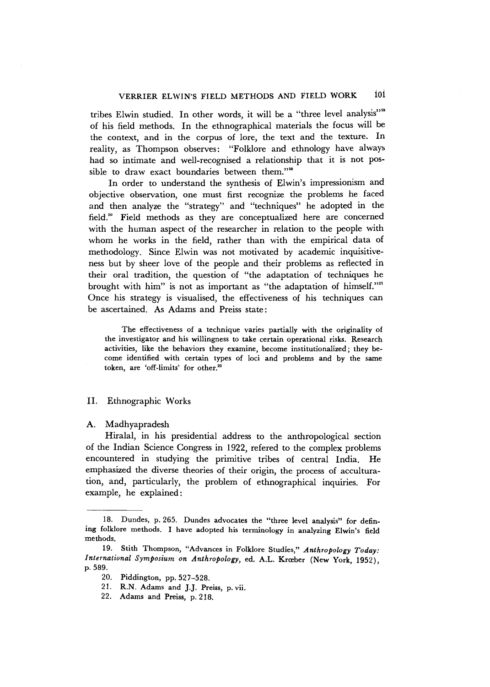tribes Elwin studied. In other words, it will be a "three level analysis"<sup>18</sup> of his field methods. In the ethnographical materials the focus will be the context, and in the corpus of lore, the text and the texture. In reality, as Thompson observes: "Folklore and ethnology have always had so intimate and well-recognised a relationship that it is not possible to draw exact boundaries between them."<sup>19</sup>

In order to understand the synthesis of Elwin's impressionism and objective observation, one must first recognize the problems he faced and then analyze the "strategy" and "techniques" he adopted in the field.<sup>20</sup> Field methods as they are conceptualized here are concerned with the human aspect of the researcher in relation to the people with whom he works in the field, rather than with the empirical data of methodology. Since Elwin was not motivated by academic inquisitiveness but by sheer love of the people and their problems as reflected in their oral tradition, the question of "the adaptation of techniques he brought with him" is not as important as "the adaptation of himself."<sup>21</sup> Once his strategy is visualised, the effectiveness of his techniques can be ascertained. As Adams and Preiss state:

The effectiveness of a technique varies partially with the originality of the investigator and his willingness to take certain operational risks. Research activities, like the behaviors they examine, become institutionalized; they become identified with certain types of loci and problems and by the same token, are 'off-limits' for other.<sup>22</sup>

#### II. Ethnographic Works

#### A. Madhyapradesh

Hiralal, in his presidential address to the anthropological section of the Indian Science Congress in 1922, refered to the complex problems encountered in studying the primitive tribes of central India. He emphasized the diverse theories of their origin, the process of acculturation, and, particularly, the problem of ethnographical inquiries. For example, he explained:

<sup>18.</sup> Dundes, p. 265. Dundes advocates the "three level analysis" for defining folklore methods. I have adopted his terminology in analyzing Elwin's field methods.

<sup>19.</sup> Stith Thompson, "Advances in Folklore Studies," *Anthropology Today:* International Symposium on Anthropology, ed. A.L. Krœber (New York, 1952), p. 589.

<sup>20.</sup> Piddington, pp. 527-528.

<sup>21.</sup> R.N. Adams and J.J. Preiss, p. vii.

<sup>22.</sup> Adams and Preiss, p. 218.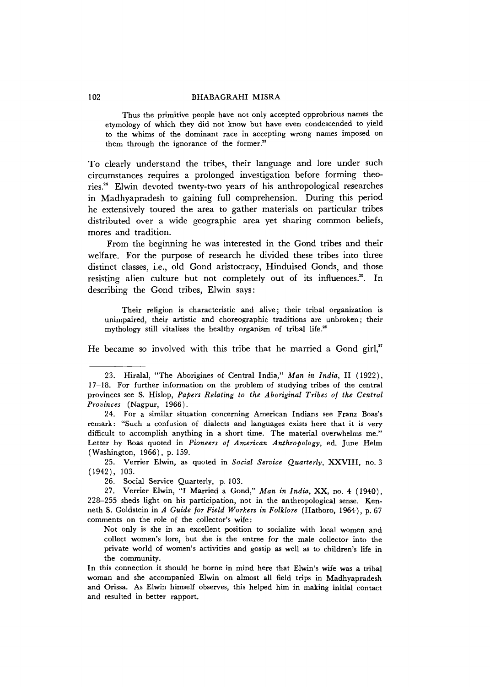Thus the primitive people have not only accepted opprobrious names the etymology of which they did not know but have even condescended to yield to the whims of the dominant race in accepting wrong names imposed on them through the ignorance of the former.<sup>23</sup>

To clearly understand the tribes, their language and lore under such circumstances requires a prolonged investigation before forming theories.24 Elwin devoted twenty-two years of his anthropological researches in Madhyapradesh to gaining full comprehension. During this period he extensively toured the area to gather materials on particular tribes distributed over a wide geographic area yet sharing common beliefs, mores and tradition.

From the beginning he was interested in the Gond tribes and their welfare. For the purpose of research he divided these tribes into three distinct classes, i.e., old Gond aristocracy, Hinduised Gonds, and those resisting alien culture but not completely out of its influences.<sup>25</sup>. In describing the Gond tribes, Elwin says:

Their religion is characteristic and alive; their tribal organization is unimpaired, their artistic and choreographic traditions are unbroken; their mythology still vitalises the healthy organism of tribal life.<sup>26</sup>

He became so involved with this tribe that he married a Gond girl,<sup>27</sup>

26. Social Service Quarterly, p. 103.

<sup>23.</sup> Hiralal, "The Aborigines of Central India," Man in India, II (1922), 17-18. For further information on the problem of studying tribes of the central provinces see S. Hislop*,Papers Relating to the Aboriginal Tribes of the Central Provinces* (Nagpur, 1966).

<sup>24.</sup> For a similar situation concerning American Indians see Franz Boas's remark: "Such a confusion of dialects and languages exists here that it is very difficult to accomplish anything in a short time. The material overwhelms me." Letter by Boas quoted in *Pioneers of American Anthropology,* ed. June Helm (Washington, 1966), p. 159.

<sup>25.</sup> Verrier Elwin, as quoted in Social Service Quarterly, XXVIII, no. 3 (1942), 103.

<sup>27.</sup> Verrier Elwin, "I Married a Gond," Man in India, XX, no. 4 (1940), 228-255 sheds light on his participation, not in the anthropological sense. Kenneth S. Goldstein in *A Guide for Field Workers in Folklore* (Hatboro, 1964), p. 67 comments on the role of the collector's wife:

Not only is she in an excellent position to socialize with local women and collect women's lore, but she is the entree for the male collector into the private world of women's activities and gossip as well as to children's life in the community.

In this connection it should be borne in mind here that Elwin's wife was a tribal woman and she accompanied Elwin on almost all field trips in Madhyapradesh and Orissa. As Elwin himself observes, this helped him in making initial contact and resulted in better rapport.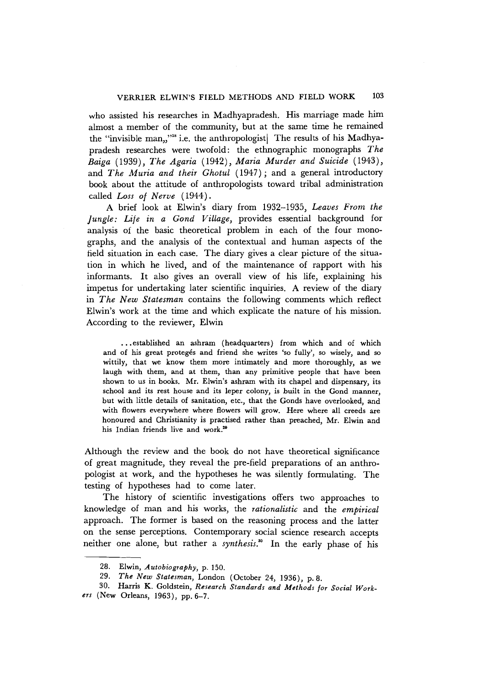who assisted his researches in Madhyapradesh. His marriage made him almost a member of the community, but at the same time he remained the "invisible man,,"<sup>28</sup> i.e. the anthropologist| The results of his Madhyapradesh researches were twofold: the ethnographic monographs *The Baiga* (1939*),The Agaria* (1942*),Maria Murder and Suicide* (1943), and *The Muria and their Ghotul* (1947); and a general introductory book about the attitude of anthropologists toward tribal administration called *Loss of Nerve* (1944).

A brief look at Elwin's diary from 1932-1935, *Leaves From the Jungle: Life in a Gond Village*, provides essential background for analysis of the basic theoretical problem in each of the four monographs) and the analysis of the contextual and human aspects of the field situation in each case. The diary gives a clear picture of the situation in which he lived, and of the maintenance of rapport with his informants. It also gives an overall view of his life, explaining his impetus for undertaking later scientific inquiries. A review of the diary in *The New Statesman* contains the following comments which reflect Elwin's work at the time and which explicate the nature of his mission. According to the reviewer, Elwin

. . . established an ashram (headquarters) from which and of which and of his great proteges and friend she writes 'so fully', so wisely, and so wittily, that we know them more intimately and more thoroughly, as we laugh with them, and at them, than any primitive people that have been shown to us in books. Mr. Elwin's ashram with its chapel and dispensary, its school and its rest house and its leper colony, is built in the Gond manner, but with little details of sanitation, etc., that the Gonds have overlooked, and with flowers everywhere where flowers will grow. Here where all creeds are honoured and Christianity is practised rather than preached, Mr. Elwin and his Indian friends live and work.2®

Although the review and the book do not have theoretical significance of great magnitude, they reveal the pre-field preparations of an anthropologist at work, and the hypotheses he was silently formulating. The testing of hypotheses had to come later.

The history of scientific investigations offers two approaches to knowledge of man and his works, the *rationalistic* and the *empirical* approach. The former is based on the reasoning process and the latter on the sense perceptions. Contemporary social science research accepts neither one alone, but rather a *synthesis*.<sup>30</sup> In the early phase of his

<sup>28.</sup> Elwin, *Autobiography,* p. 150.

<sup>29.</sup> *The New Statesman*, London (October 24, 1936), p. 8.

<sup>30.</sup> Harris K. Goldstein, *Research Standards and Methods for Social Work-*

*ers* (New Orleans, 1963), pp. 6-7.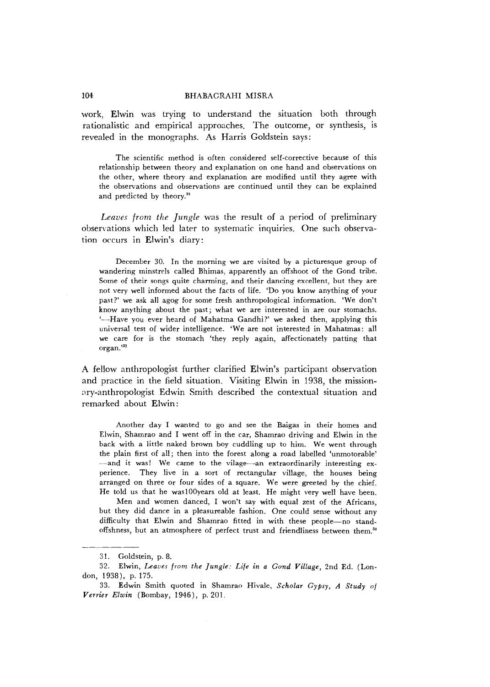work, Elwin was trying to understand the situation both through rationalistic and empirical approaches. The outcome, or synthesis, is revealed in the monographs. As Harris Goldstein says:

The scientific method is often considered self-corrective because of this relationship between theory and explanation on one hand and observations on the other, where theory and explanation are modified until they agree with the observations and observations are continued until they can be explained and predicted by theory.<sup>31</sup>

*Leaves from the Jungle* was the result of a period of preliminary observations which led later to systematic inquiries. One such observation occurs in Elwin's diary:

December 30. In the morning we are visited by a picturesque group of wandering minstrels called Bhimas, apparently an offshoot of the Gond tribe. Some of their songs quite charming, and their dancing excellent, but they are not very well informed about the facts of life. 'Do you know anything of your past?' we ask all agog for some fresh anthropological information. 'We don't know anything about the past; what we are interested in are our stomachs. '-Have you ever heard of Mahatma Gandhi?' we asked then, applying this universal test of wider intelligence. 'We are not interested in Mahatmas: all we care for is the stomach 'they reply again, affectionately patting that organ.'32

A fellow anthropologist further clarified Elwin's participant observation and practice in the field situation. Visiting Elwin in 1938, the missionary-anthropologist Edwin Smith described the contextual situation and remarked about Elwin:

Another day I wanted to go and see the Baigas in their homes and Elwin, Shamrao and I went off in the car, Shamrao driving and Elwin in the back with a little naked brown boy cuddling up to him. We went through the plain first of all; then into the forest along a road labelled 'unmotorable' -- and it was! We came to the vilage-an extraordinarily interesting experience. They live in a sort of rectangular village, the houses being arranged on three or four sides of a square. We were greeted by the chief. He told us that he waslOOyears old at least. He might very well have been.

Men and women danced,I won't say with equal zest of the Africans, but they did dance in a pleasureable fashion. One could sense without any difficulty that Elwin and Shamrao fitted in with these people—no standoffshness, but an atmosphere of perfect trust and friendliness between them.<sup>33</sup>

<sup>31.</sup> Goldstein, p. 8.

<sup>32.</sup> Elwin, *Leaves from the Jungle: Life in a Gond Village* 2nd Ed. (London, 1938), p. 175.

<sup>33.</sup> Edwin Smith quoted in Shamrao Hivale, *Scholar Gypsy, A Study of Verrier Elwin* (Bombay, 1946), p. 201.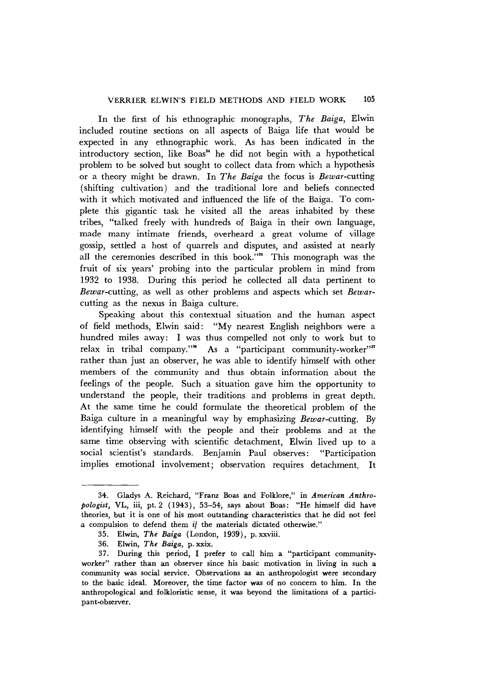In the first of his ethnographic monographs, *The Baiga,* Elwin included routine sections on all aspects of Baiga life that would be expected in any ethnographic work. As has been indicated in the introductory section, like Boas<sup>34</sup> he did not begin with a hypothetical problem to be solved but sought to collect data from which a hypothesis or a theory might be drawn. In *The Baiga* the focus is *Bewar-cuttmg* (shifting cultivation) and the traditional lore and beliefs connected with it which motivated and influenced the life of the Baiga. To complete this gigantic task he visited all the areas inhabited by these tribes, "talked freely with hundreds of Baiga in their own language, made many intimate friends, overheard a great volume of village gossip, settled a host of quarrels and disputes, and assisted at nearly all the ceremonies described in this book."<sup>35</sup> This monograph was the fruit of six years' probing into the particular problem in mind from 1932 to 1938. During this period he collected all data pertinent to *Bewar-cuttmg,* as well as other problems and aspects which set *Bewar*cutting as the nexus in Baiga culture.

Speaking about this contextual situation and the human aspect of field methods,Elwin said: "My nearest English neighbors were a hundred miles away: I was thus compelled not only to work but to relax in tribal company."<sup>38</sup> As a "participant community-worker"<sup>37</sup> rather than just an observer, he was able to identify himself with other members of the community and thus obtain information about the feelings of the people. Such a situation gave him the opportunity to understand the people, their traditions and problems in great depth. At the same time he could formulate the theoretical problem of the Baiga culture in a meaningful way by emphasizing *Bewar-cuttmg.* By identifying himself with the people and their problems and at the same time observing with scientific detachment, Elwin lived up to a social scientist's standards. Benjamin Paul observes: "Participation implies emotional involvement; observation requires detachment. It

<sup>34.</sup> Gladys A. Reichard, "Franz Boas and Folklore," in *American Anthro*pologist, VL, iii, pt. 2 (1943), 53-54, says about Boas: "He himself did have theories, but it is one of his most outstanding characteristics that he did not feel a compulsion to defend them *if* the materials dictated otherwise."

<sup>35.</sup> Elwin, The Baiga (London, 1939), p. xxviii.

<sup>36.</sup> Elwin, *The Baiga,* p. xxix.

<sup>37.</sup> During this period, I prefer to call him a "participant communityworker" rather than an observer since his basic motivation in living in such a community was social service. Observations as an anthropologist were secondary to the basic ideal. Moreover, the time factor was of no concern to him. In the anthropological and folkloristic sense, it was beyond the limitations of a participant-observer.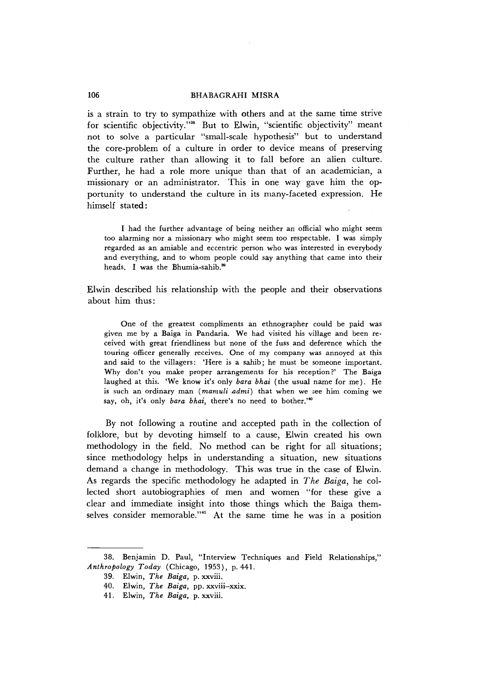is a strain to try to sympathize with others and at the same time strive for scientific objectivity."<sup>38</sup> But to Elwin, "scientific objectivity" meant not to solve a particular ''small-scale hypothesis" but to understand the core-problem of a culture in order to device means of preserving the culture rather than allowing it to fall before an alien culture. Further, he had a role more unique than that of an academician, a missionary or an administrator. This in one way gave him the opportunity to understand the culture in its many-faceted expression. He himself stated:

I had the further advantage of being neither an official who might seem too alarming nor a missionary who might seem too respectable. I was simply regarded as an amiable and eccentric person who was interested in everybody and everything, and to whom people could say anything that came into their heads. I was the Bhumia-sahib.<sup>39</sup>

Elwin described his relationship with the people and their observations about him thus:

One of the greatest compliments an ethnographer could be paid was given me by a Baiga in Pandaria. We had visited his village and been received with great friendliness but none of the fuss and deference which the touring officer generally receives. One of my company was annoyed at this and said to the villagers: 'Here is a sahib; he must be someone important. Why don't you make proper arrangements for his reception?' The Baiga laughed at this. 'We know it's only *bara bhai* (the usual name for me). He is such an ordinary man *(mamuli admi)* that when we see him coming we say, oh, it's only *bara bhai*, there's no need to bother.<sup>40</sup>

By not following a routine and accepted path in the collection of folklore, but by devoting himself to a cause, Elwin created his own methodology in the field. No method can be right for all situations; since methodology helps in understanding a situation, new situations demand a change in methodology. This was true in the case of Elwin. As regards the specific methodology he adapted in *The Baiga,* he collected short autobiographies of men and women "for these give a clear and immediate insight into those things which the Baiga themselves consider memorable."<sup>41</sup> At the same time he was in a position

<sup>38.</sup> Benjamin D. Paul, "Interview Techniques and Field Relationships," Anthropology Today (Chicago, 1953), p. 441.

<sup>39.</sup> Elwin, *The Baiga,* p. xxviii.

<sup>40.</sup> Elwin, The Baiga, pp. xxviii-xxix.

<sup>41.</sup> Elwin, The Baiga, p. xxviii.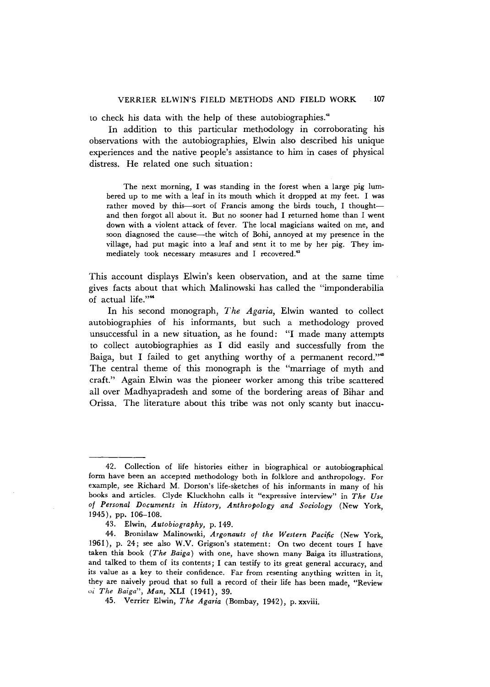to check his data with the help of these autobiographies.<sup>42</sup>

In addition to this particular methodology in corroborating his observations with the autobiographies, Elwin also described his unique experiences and the native people's assistance to him in cases of physical distress. He related one such situation:

The next morning, I was standing in the forest when a large pig lumbered up to me with a leaf in its mouth which it dropped at my feet. I was rather moved by this—sort of Francis among the birds touch, I thought and then forgot all about it. But no sooner had I returned home than I went down with a violent attack of fever. The local magicians waited on me, and soon diagnosed the cause— the witch of Bohi, annoyed at my presence in the village, had put magic into a leaf and sent it to me by her pig. They immediately took necessary measures and I recovered.<sup>43</sup>

This account displays Elwin's keen observation, and at the same time gives facts about that which Malinowski has called the "imponderabilia of actual life."<sup>44</sup>

In his second monograph*,The Agaria,* Elwin wanted to collect autobiographies of his informants, but such a methodology proved unsuccessful in a new situation, as he found: "I made many attempts to collect autobiographies as I did easily and successfully from the Baiga, but I failed to get anything worthy of a permanent record."<sup>65</sup> The central theme of this monograph is the "marriage of myth and craft." Again Elwin was the pioneer worker among this tribe scattered all over Madhyapradesh and some of the bordering areas of Bihar and Orissa. The literature about this tribe was not only scanty but inaccu-

<sup>42.</sup> Collection of life histories either in biographical or autobiographical form have been an accepted methodology both in folklore and anthropology. For example, see Richard M. Dorson's life-sketches of his informants in many of his books and articles. Clyde Kluckhohn calls it "expressive interview" in *The Use of Personal Documents in History, Anthropology and Sociology* (New York, 1945), pp. 106-108.

<sup>43.</sup> Elwin, *Autobiography* p. 149.

<sup>44.</sup> Bronislaw Malinowski, *Argonauts of the Western Pacific* (New York, 1961), p. 24; see also W.V. Grigson's statement: On two decent tours I have taken this book *(The Baiga)* with one, have shown many Baiga its illustrations, and talked to them of its contents; I can testify to its great general accuracy, and its value as a key to their confidence. Far from resenting anything written in it, they are naively proud that so full a record of their life has been made, "Review of *The Baiga"*, *Man*, XLI (1941), 39.

<sup>45.</sup> Verrier Elwin, *The Agaria* (Bombay, 1942), p. xxviii.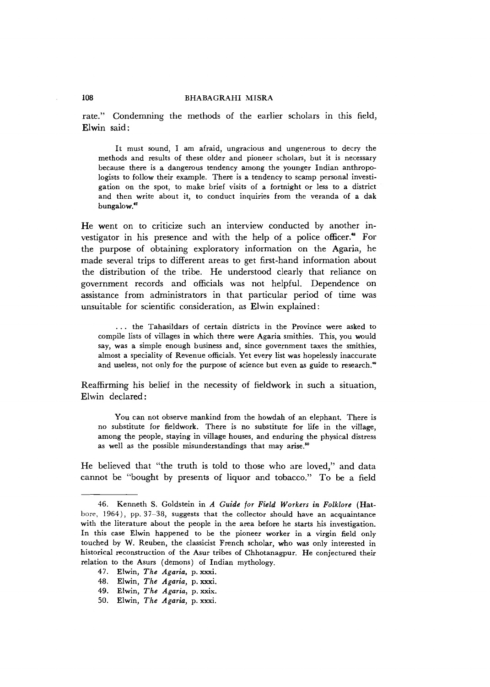rate." Condemning the methods of the earlier scholars in this field, Elwin said:

It must sound, I am afraid, ungracious and ungenerous to decry the methods and results of these older and pioneer scholars, but it is necessary because there is a dangerous tendency among the younger Indian anthropologists to follow their example. There is a tendency to scamp personal investigation on the spot, to make brief visits of a fortnight or less to a district and then write about it, to conduct inquiries from the veranda of a dak bungalow.<sup>47</sup>

He went on to criticize such an interview conducted by another investigator in his presence and with the help of a police officer.<sup>48</sup> For the purpose of obtaining exploratory information on the Agaria, he made several trips to different areas to get first-hand information about the distribution of the tribe. He understood clearly that reliance on government records and officials was not helpful. Dependence on assistance from administrators in that particular period of time was unsuitable for scientific consideration, as Elwin explained:

. . . the Tahasildars of certain districts in the Province were asked to compile lists of villages in which there were Agaria smithies. This, you would say, was a simple enough business and, since government taxes the smithies, almost a speciality of Revenue officials. Yet every list was hopelessly inaccurate and useless, not only for the purpose of science but even as guide to research.<sup>40</sup>

Reaffirming his belief in the necessity of fieldwork in such a situation, Elwin declared:

You can not observe mankind from the howdah of an elephant. There is no substitute for fieldwork. There is no substitute for life in the village, among the people, staying in village houses, and enduring the physical distress as well as the possible misunderstandings that may arise.<sup>50</sup>

He believed that "the truth is told to those who are loved," and data cannot be "bought by presents of liquor and tobacco." To be a field

<sup>46.</sup> Kenneth S. Goldstein in *A Guide for Field Workers in Folklore* (Hatbore,  $1964$ ), pp.  $37-38$ , suggests that the collector should have an acquaintance with the literature about the people in the area before he starts his investigation. In this case Elwin happened to be the pioneer worker in a virgin field only touched by W. Reuben, the classicist French scholar, who was only interested in historical reconstruction of the Asur tribes of Ghhotanagpur. He conjectured their relation to the Asurs (demons) of Indian mythology.

<sup>47.</sup> Elwin, *The Agaria,* p. xxxi.

<sup>48.</sup> Elwin, *The Agaria,* p. xxxi.

<sup>49.</sup> Elwin, *The Agaria* p. xxix.

<sup>50.</sup> Elwin, *The Agaria,* p. xxxi.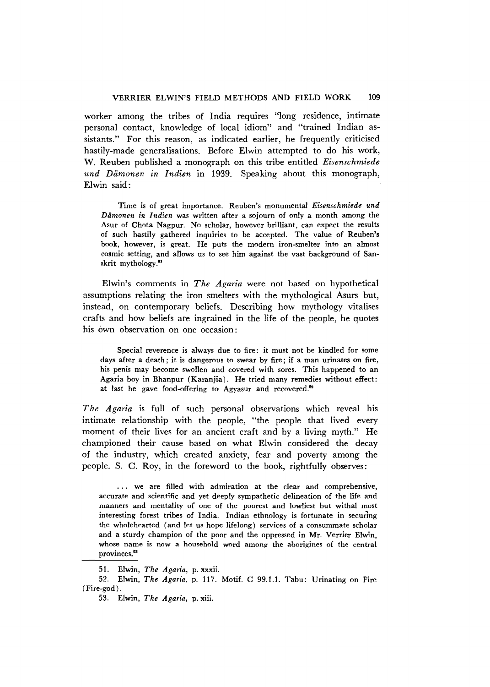worker among the tribes of India requires "long residence, intimate personal contact, knowledge of local idiom" and "trained Indian assistants." For this reason, as indicated earlier, he frequently criticised hastily-made generalisations. Before Elwin attempted to do his work, W. Reuben published a monograph on this tribe entitled *Eisenschmiede und Damonen in Indien* in 1939. Speaking about this monograph, Elwin said:

Time is of great importance. Reuben's monumental *Eisenschmiede und Damonen in Indien* was written after a sojourn of only a month among the Asur of Ghota Nagpur. No scholar, however brilliant, can expect the results of such hastily gathered inquiries to be accepted. The value of Reuben's book, however, is great. He puts the modern iron-smelter into an almost cosmic setting, and allows us to see him against the vast background of Sanskrit mythology.<sup>51</sup>

Elwin's comments in *The Agaria* were not based on hypothetical assumptions relating the iron smelters with the mythological Asurs but, instead, on contemporary beliefs. Describing how mythology vitalises crafts and how beliefs are ingrained in the life of the people, he quotes his own observation on one occasion:

Special reverence is always due to fire: it must not be kindled for some days after a death; it is dangerous to swear by fire; if a man urinates on fire, his penis may become swollen and covered with sores. This happened to an Agaria boy in Bhanpur (Karanjia). He tried many remedies without effect: at last he gave food-offering to Agyasur and recovered.®\*

*The Aparia* is full of such personal observations which reveal his intimate relationship with the people, "the people that lived every moment of their lives for an ancient craft and by a living myth." He championed their cause based on what Elwin considered the decay of the industry, which created anxiety, fear and poverty among the people. S. C. Roy, in the foreword to the book, rightfully observes:

... we are filled with admiration at the clear and comprehensive, accurate and scientific and yet deeply sympathetic delineation of the life and manners and mentality of one of the poorest and lowliest but withal most interesting forest tribes of India. Indian ethnology is fortunate in securing the wholehearted (and let us hope lifelong) services of a consummate scholar and a sturdy champion of the poor and the oppressed in Mr. Verrier Elwin, whose name is now a household word among the aborigines of the central provinces.<sup>83</sup>

<sup>51.</sup> Elwin, The Agaria, p. xxxii.

<sup>52.</sup> Elwin, *The Agaria,* p. 117. Motif. G 99.1.1. Tabu: Urinating on Fire (Fire-god).

<sup>53.</sup> Elwin, The Agaria, p. xiii.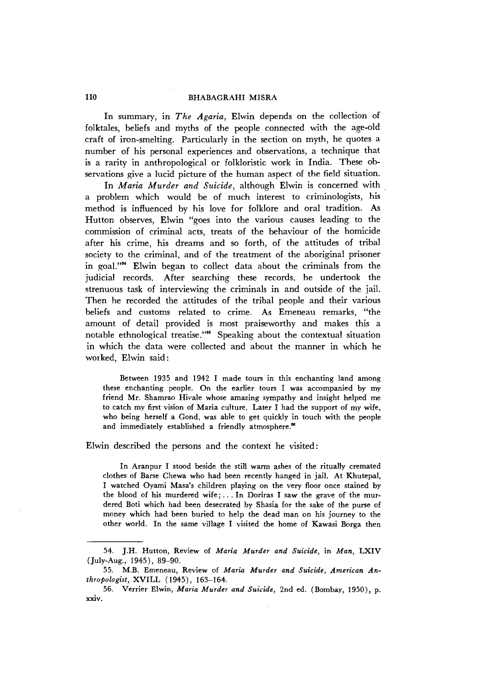In summary, in *The Agaria,* Elwin depends on the collection of folktales, beliefs and myths of the people connected with the age-old craft of iron-smelting. Particularly in the section on myth, he quotes a number of his personal experiences and observations, a technique that is a rarity in anthropological or folkloristic work in India. These observations give a lucid picture of the human aspect ot the field situation.

In *Maria Murder and Suicide,* although Elwin is concerned with a problem which would be of much interest to criminologists, his method is influenced by his love for folklore and oral tradition. As Hutton observes, Elwin "goes into the various causes leading to the commission of criminal acts, treats of the behaviour of the homicide after his crime, his dreams and so forth, of the attitudes of tribal society to the criminal, and of the treatment of the aboriginal prisoner in goal."<sup>54</sup> Elwin began to collect data about the criminals from the judicial records. After searching these records, he undertook the strenuous task of interviewing the criminals in and outside of the jail. Then he recorded the attitudes of the tribal people and their various beliefs and customs related to crime. As Emeneau remarks, "the amount of detail provided is most praiseworthy and makes this a notable ethnological treatise."<sup>55</sup> Speaking about the contextual situation in which the data were collected and about the manner in which he worked, Elwin said:

Between 1935 and 1942 I made tours in this enchanting land among these enchanting people. On the earlier tours I was accompanied by my friend Mr. Shamrao Hivale whose amazing sympathy and insight helped me to catch my first vision of Maria culture. Later I had the support of my wife, who being herself a Gond, was able to get quickly in touch with the people and immediately established a friendly atmosphere.<sup>58</sup>

Elwin described the persons and the context he visited:

In Aranpur I stood beside the still warm ashes of the ritually cremated clothes of Barse Chewa who had been recently hanged in jail. At Khutepal, I watched Oyami Masa's children playing on the very floor once stained by the blood of his murdered wife; ... In Doriras I saw the grave of the murdered Boti which had been desecrated by Shasia for the sake of the purse of money which had been buried to help the dead man on his journey to the other world. In the same village I visited the home of Kawasi Borga then

<sup>54.</sup> J.H. Hutton, Review of *Maria Murder and Suicide,* in *Man,* LXIV (July-Aug, 1945), 89-90.

<sup>55.</sup> M.B. Emeneau, Review of Maria Murder and Suicide, American An*thropologist, XVILL* (1945), 163-164.

<sup>56.</sup> Verrier Elwin, Maria Murder and Suicide, 2nd ed. (Bombay, 1950), p. xxiv.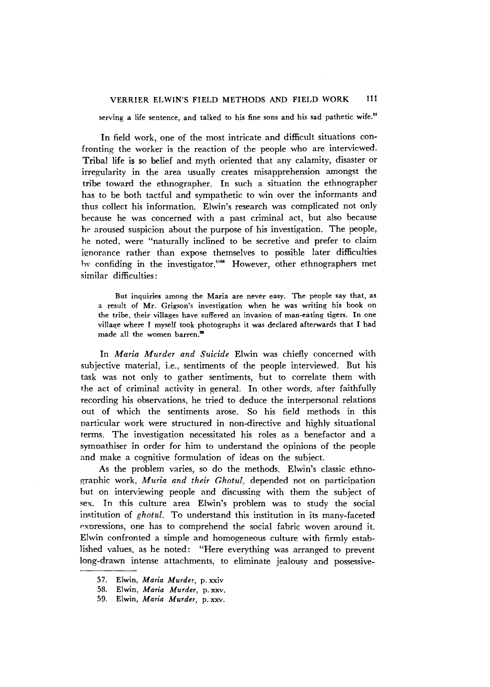## VERRIER ELWIN'S FIELD METHODS AND FIELD WORK 111

serving a life sentence, and talked to his fine sons and his sad pathetic wife.<sup>57</sup>

In field work, one of the most intricate and difficult situations confronting the worker is the reaction of the people who are interviewed. Tribal life is so belief and myth oriented that any calamity, disaster or irregularity in the area usually creates misapprehension amongst the tribe toward the ethnographer. In such a situation the ethnographer has to be both tactful and sympathetic to win over the informants and thus collect his information. Elwin's research was complicated not only because he was concerned with a past criminal act, but also because he aroused suspicion about the purpose of his investigation. The people, he noted, were "naturally inclined to be secretive and prefer to claim ignorance rather than expose themselves to possible later difficulties hv confiding in the investigator."88 However, other ethnographers met similar difficulties:

But inquiries among the Maria are never easy. The people say that, as a result of Mr. Grigson's investigation when he was writing his book on the tribe, their villages have suffered an invasion of man-eating tigers. In one village where I myself took photographs it was declared afterwards that I had made all the women barren.<sup>88</sup>

In *Maria Murder and Suicide* Elwin was chiefly concerned with subjective material, i.e., sentiments of the people interviewed. But his task was not only to gather sentiments, but to correlate them with the act of criminal activity in general. In other words, after faithfully recording his observations, he tried to deduce the interpersonal relations out of which the sentiments arose. So his field methods in this particular work were structured in non-directive and highly situational terms. The investigation necessitated his roles as a benefactor and a sympathiser in order for him to understand the opinions of the people and make a cognitive formulation of ideas on the subject.

As the problem varies, so do the methods. Elwin's classic ethnographic work, *Muria and their Ghotul,* depended not on participation but on interviewing people and discussing with them the subject of sex. In this culture area Elwin's problem was to study the social institution of *ghotul.* To understand this institution in its many-faceted expressions, one has to comprehend the social fabric woven around it. Elwin confronted a simple and homogeneous culture with firmly established values, as he noted: "Here everything was arranged to prevent long-drawn intense attachments, to eliminate jealousy and possessive-

<sup>57.</sup> Elwin, Maria Murder, p. xxiv

Elwin, *Maria Murder,* p. xxv. 58.

Elwin, *Maria Murder,* p. xxv. 59.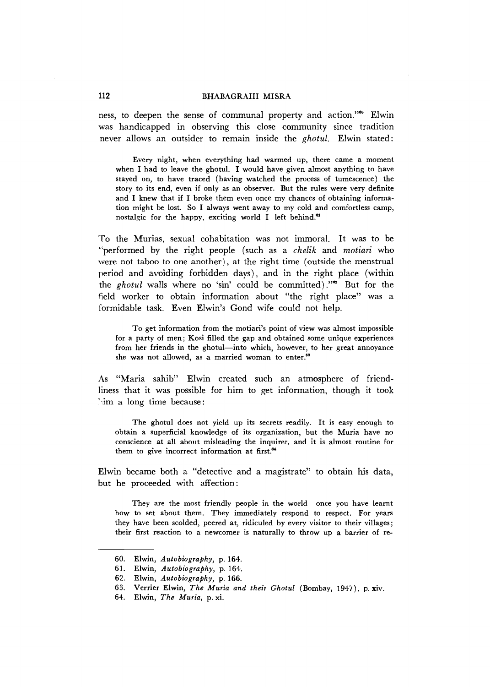ness, to deepen the sense of communal property and action."<sup>66</sup> Elwin was handicapped in observing this close community since tradition never allows an outsider to remain inside the *ghotul.* Elwin stated:

Every night, when everything had warmed up, there came a moment when I had to leave the ghotul. I would have given almost anything to have stayed on, to have traced (having watched the process of tumescence) the story to its end, even if only as an observer. But the rules were very definite and I knew that if I broke them even once my chances of obtaining information might be lost. So I always went away to my cold and comfortless camp, nostalgic for the happy, exciting world I left behind.<sup> $a$ </sup>

To the Murias, sexual cohabitation was not immoral. It was to be "performed by the right people (such as a *chelik* and *motiari* who were not taboo to one another), at the right time (outside the menstrual period and avoiding forbidden days), and in the right place (within the *ghotul* walls where no 'sin' could be committed)."® But for the field worker to obtain information about "the right place" was a formidable task. Even Elwin's Gond wife could not help.

To get information from the motiari's point of view was almost impossible for a party of men; Kosi filled the gap and obtained some unique experiences from her friends in the ghotul—into which, however, to her great annoyance she was not allowed, as a married woman to enter.<sup>63</sup>

As "Maria sahib" Elwin created such an atmosphere of friendliness that it was possible for him to get information, though it took him a long time because:

The ghotul does not yield up its secrets readily. It is easy enough to obtain a superficial knowledge of its organization, but the Muria have no conscience at all about misleading the inquirer, and it is almost routine for them to give incorrect information at first.<sup>64</sup>

Elwin became both a "detective and a magistrate" to obtain his data, but he proceeded with affection:

They are the most friendly people in the world—once you have learnt how to set about them. They immediately respond to respect. For years they have been scolded, peered at, ridiculed by every visitor to their villages; their first reaction to a newcomer is naturally to throw up a barrier of re-

Elwin, *Autobiography,* p. 164. 0

Elwin, *Autobiography,* p. 164. 1.

Elwin, *Autobiography,* p. 166. 60<br>61<br>62<br>63<br>64

<sup>63.</sup> Verrier Elwin, *The Muria and their Ghotul* (Bombay, 1947), p. xiv.

Elwin, *The Muria,* p. xi.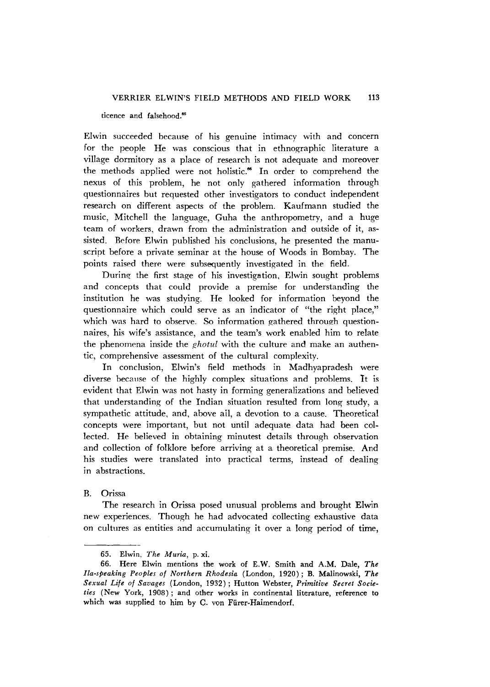ticence and falsehood.<sup>65</sup>

Elwin succeeded because of his genuine intimacy with and concern for the people He was conscious that in ethnographic literature a village dormitory as a place of research is not adequate and moreover the methods applied were not holistic.<sup>66</sup> In order to comprehend the nexus of this problem, he not only gathered information through questionnaires but requested other investigators to conduct independent research on different aspects of the problem. Kaufmann studied the music, Mitchell the language, Guha the anthropometry, and a huge team of workers, drawn from the administration and outside of it, assisted. Before Elwin published his conclusions, he presented the manuscript before a private seminar at the house of Woods in Bombay. The points raised there were subsequently investigated in the field.

During the first stage of his investigation, Elwin sought problems and concepts that could provide a premise for understanding the institution he was studying. He looked for information beyond the questionnaire which could serve as an indicator of "the right place," which was hard to observe. So information gathered through questionnaires, his wife's assistance, and the team's work enabled him to relate the phenomena inside the *ghotul* with the culture and make an authentic, comprehensive assessment of the cultural complexity.

In conclusion, Elwin's field methods in Madhyapradesh were diverse because of the highly complex situations and problems. It is evident that Elwin was not hasty in forming generalizations and believed that understanding of the Indian situation resulted from long study, a sympathetic attitude, and, above all, a devotion to a cause. Theoretical concepts were important, but not until adequate data had been collected. He believed in obtaining minutest details through observation and collection of folklore before arriving at a theoretical premise. And his studies were translated into practical terms, instead of dealing in abstractions.

### B. Orissa

The research in Orissa posed unusual problems and brought Elwin new experiences. Though he had advocated collecting exhaustive data on cultures as entities and accumulating it over a long period of time.

<sup>65.</sup> Elwin, *The Muria,* p. xi.

<sup>66.</sup> Here Elwin mentions the work of E.W. Smith and A.M. Dale, *The Ila-speaking Peoples of Northern Rhodesia* (London, 1920) ; B. Malinowski, *The Sexual Life of Savages* (London, 1932) ; Hutton Webster, *Primitive Secret Societies* (New York, 1908) ; and other works in continental literature, reference to which was supplied to him by C. von Fürer-Haimendorf,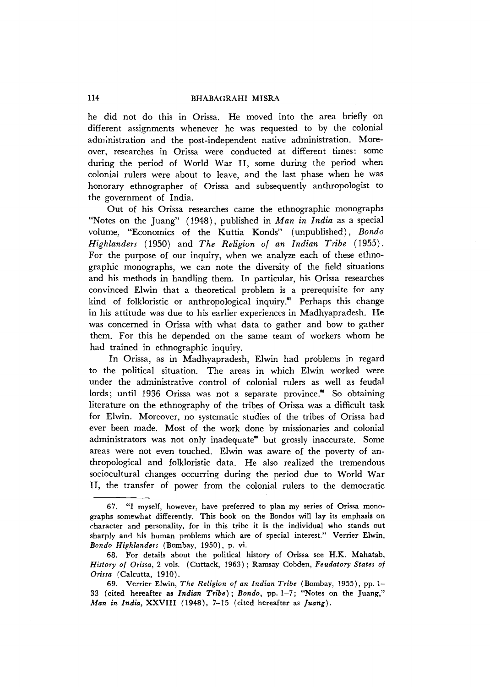he did not do this in Orissa. He moved into the area briefly on different assignments whenever he was requested to by the colonial administration and the post-independent native administration. Moreover, researches in Orissa were conducted at different times: some during the period of World War II, some during the period when colonial rulers were about to leave, and the last phase when he was honorary ethnographer of Orissa and subsequently anthropologist to the government of India.

Out of his Orissa researches came the ethnographic monographs "Notes on the Juang" (1948), published in *Man in India* as a special volume, "Economics of the Kuttia Konds" (unpublished), *Bondo Highlanders* (1950) and *The Religion of an Indian Tribe* (1955). For the purpose of our inquiry, when we analyze each of these ethnographic monographs, we can note the diversity of the field situations and his methods in handling them. In particular, his Orissa researches convinced Elwin that a theoretical problem is a prerequisite for any kind of folkloristic or anthropological inquiry.<sup> $\pi$ </sup> Perhaps this change in his attitude was due to his earlier experiences in Madhyapradesh. He was concerned in Orissa with what data to gather and bow to gather them. For this he depended on the same team of workers whom he had trained in ethnographic inquiry.

In Orissa, as in Madhyapradesh, Elwin had problems in regard to the political situation. The areas in which Elwin worked were under the administrative control of colonial rulers as well as feudal lords; until 1936 Orissa was not a separate province.<sup>68</sup> So obtaining literature on the ethnography of the tribes of Orissa was a difficult task for Elwin. Moreover, no systematic studies of the tribes of Orissa had ever been made. Most of the work done by missionaries and colonial administrators was not only inadequate<sup>®</sup> but grossly inaccurate. Some areas were not even touched. Elwin was aware of the poverty of anthropological and folkloristic data. He also realized the tremendous sociocultural changes occurring during the period due to World War II, the transfer of power from the colonial rulers to the democratic

<sup>67. &</sup>quot;I myself, however, have preferred to plan my series of Orissa monographs somewhat differently. This book on the Bondos will lay its emphasis on character and personality, fof in this tribe it is the individual who stands out sharply and his human problems which are of special interest." Verrier Elwin, Bondo Highlanders (Bombay, 1950), p. vi.

<sup>68.</sup> For details about the political history of Orissa see H.K. Mahatab, *History of Orissa,* 2 vols. (Cuttack, 1963) ; Ramsay Cobden, *Feudatory States of Orissa* (Calcutta, 1910).

<sup>69.</sup> Verrier Elwin, The Religion of an Indian Tribe (Bombay, 1955), pp. 1-33 (cited hereafter as *Indian Tribe*); *Bondo*, pp. 1-7; "Notes on the Juang," *Man in India, XXVIII* (1948), 7-15 (cited hereafter as *Juang*).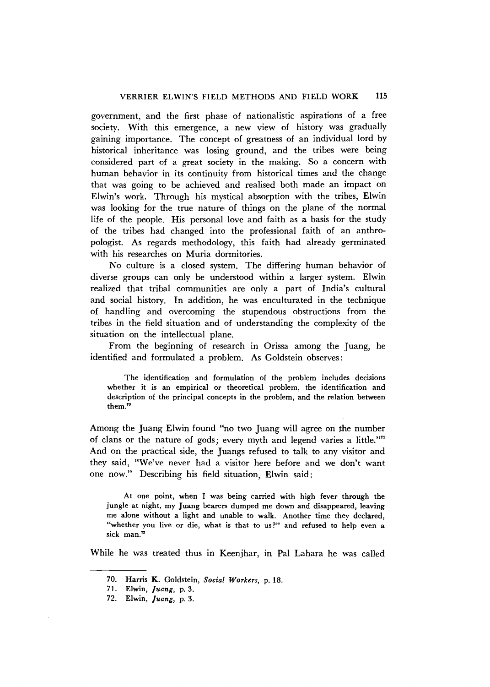government, and the first phase of nationalistic aspirations of a free society. With this emergence, a new view of history was gradually gaining importance. The concept of greatness of an individual lord by historical inheritance was losing ground, and the tribes were being considered part of a great society in the making. So a concern with human behavior in its continuity from historical times and the change that was going to be achieved and realised both made an impact on Elwin's work. Through his mystical absorption with the tribes, Elwin was looking for the true nature of things on the plane of the normal life of the people. His personal love and faith as a basis for the study of the tribes had changed into the professional faith of an anthropologist. As regards methodology, this faith had already germinated with his researches on Muria dormitories.

No culture is a closed system. The differing- human behavior of diverse groups can only be understood within a larger system. Elwin realized that tribal communities are only a part of India's cultural and social history. In addition, he was enculturated in the technique of handling and overcoming the stupendous obstructions from the tribes in the field situation and of understanding the complexity of the situation on the intellectual plane.

From the beginning of research in Orissa among the Juang, he identified and formulated a problem. As Goldstein observes:

The identification and formulation of the problem includes decisions whether it is an empirical or theoretical problem, the identification and description of the principal concepts in the problem, and the relation between them.70

Among the Juang Elwin found "no two Juang- will agree on the number of clans or the nature of gods; every myth and legend varies a little."<sup>11</sup> And on the practical side, the Juangs refused to talk to any visitor and they said, "We've never had a visitor here before and we don't want one now." Describing his field situation, Elwin said:

At one point, when I was being carried with high fever through the jungle at night, my Juang bearers dumped me down and disappeared, leaving me alone without a light and unable to walk. Another time they declared, "whether you live or die, what is that to us?" and refused to help even a sick man.<sup>72</sup>

While he was treated thus in Keen jhar, in Pal Lahara he was called

<sup>70.</sup> Harris K. Goldstein, Social Workers, p. 18.

<sup>7 1 .</sup> Elwin, *Juang,* p. 3.

<sup>72.</sup> Elwin, *Juang,* p. 3.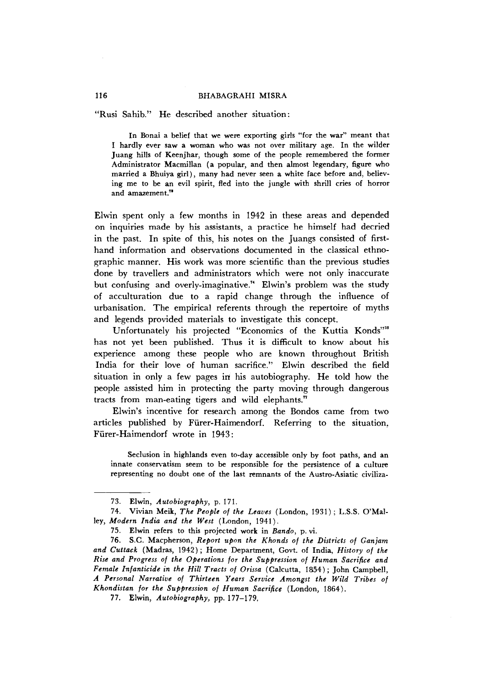"Rusi Sahib." He described another situation:

In Bonai a belief that we were exporting girls "for the war" meant that I hardly ever saw a woman who was not over military age. In the wilder Juang hills of Keenjhar, though some of the people remembered the former Administrator Macmillan (a popular, and then almost legendary, figure who married a Bhuiya girl), many had never seen a white face before and, believing me to be an evil spirit, fled into the jungle with shrill cries of horror and amazement.<sup>78</sup>

Elwin spent only a few months in 1942 in these areas and depended on inquiries made by his assistants, a practice he himself had decried in the past. In spite of this, his notes on the Juangs consisted of firsthand information and observations documented in the classical ethnographic manner. His work was more scientific than the previous studies done by travellers and administrators which were not only inaccurate but confusing and overly-imaginative.<sup>74</sup> Elwin's problem was the study of acculturation due to a rapid change through the influence of urbanisation. The empirical referents through the repertoire of myths and legends provided materials to investigate this concept.

Unfortunately his projected "Economics of the Kuttia Konds"75 has not yet been published. Thus it is difficult to know about his experience among these people who are known throughout British India for their love of human sacrifice." Elwin described the field situation in only a few pages in his autobiography. He told how the people assisted him in protecting the party moving through dangerous tracts from man-eating tigers and wild elephants."

Elwin's incentive for research among the Bondos came from two articles published by Fiirer-Haimendorf. Referring to the situation. Fiirer-Haimendorf wrote in 1943:

Seclusion in highlands even to-day accessible only by foot paths, and an innate conservatism seem to be responsible for the persistence of a culture representing no doubt one of the last remnants of the Austro-Asiatic civiliza-

<sup>73.</sup> Elwin, *Autobiography,* p. 171.

<sup>74.</sup> Vivian Meik, The People of the Leaves (London, 1931); L.S.S. O'Malley, *Modern India and the West* (London, 1941).

<sup>75.</sup> Elwin refers to this projected work in *Bando*, p. vi.

<sup>76.</sup> S.G. Macpherson, *Report upon the Khonds of the Districts of Ganjam and Cuttack* (Madras, 1942) ; Home Department, Govt, of India, *History of the Rise and Progress of the Operations for the Suppression of Human Sacrifice and* Female Infanticide in the Hill Tracts of Orissa (Calcutta, 1854); John Campbell, *A Personal Narrative of Thirteen Years Service Amongst the Wild Tribes of Khondistan for the Suppression of Human Sacrifice* (London, 1864).

<sup>77.</sup> Elwin, *Autobiography* pp. 177—179.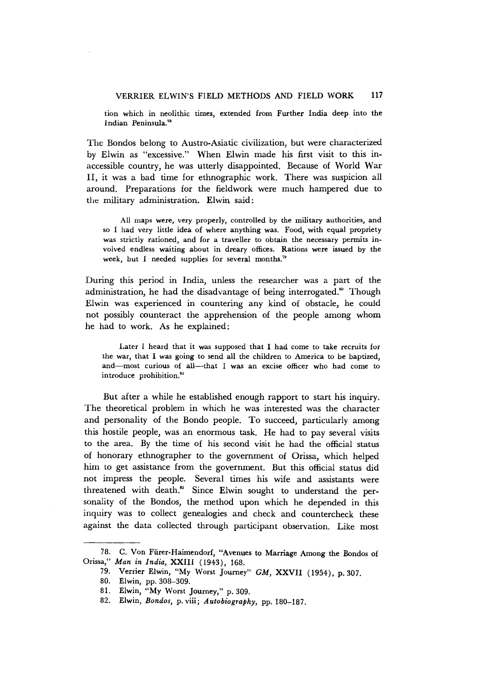tion which in neolithic times, extended from Further India deep into the Indian Peninsula.78

The Bondos belong to Austro-Asiatic civilization, but were characterized by Elwin as "excessive." When Elwin made his first visit to this inaccessible country, he was utterly disappointed. Because of World War II, it was a bad time for ethnographic work. There was suspicion all around. Preparations for the fieldwork were much hampered due to the military administration. Elwin said:

All maps were, very properly, controlled by the military authorities, and so I had very little idea of where anything was. Food, with equal propriety was strictly rationed, and for a traveller to obtain the necessary permits involved endless waiting about in dreary offices. Rations were issued by the week, but I needed supplies for several months.<sup>79</sup>

During this period in India, unless the researcher was a part of the administration, he had the disadvantage of being interrogated.<sup>80</sup> Though Elwin was experienced in countering any kind of obstacle, he could not possibly counteract the apprehension of the people among whom he had to work. As he explained:

Later I heard that it was supposed that I had come to take recruits for the war, that I was going to send all the children to America to be baptized, and—most curious of all— that I was an excise officer who had come to introduce prohibition.<sup>81</sup>

But after a while he established enough rapport to start his inquiry. The theoretical problem in which he was interested was the character and personality of the Bondo people. To succeed, particularly among this hostile people,was an enormous task. He had to pay several visits to the area. By the time of his second visit he had the official status of honorary ethnographer to the government of Orissa, which helped him to get assistance from the government. But this official status did not impress the people. Several times his wife and assistants were threatened with death.<sup>82</sup> Since Elwin sought to understand the personality of the Bondos, the method upon which he depended in this inquiry was to collect genealogies and check and countercheck these against the data collected through participant observation. Like most

<sup>78.</sup> C. Von Fürer-Haimendorf, "Avenues to Marriage Among the Bondos of Orissa," Man in India, XXIII (1943), 168. ر",<br>|9.<br>|1.

variation of the *India*, XXIII (1943), 168.<br>
79. Verrier Elwin, "My Worst Journey" *GM*, XXVII (1954), p. 307.<br>
80. Elwin, pp. 308–309.

Elwin, pp. 308-309.

Elwin, "My Worst Journey," p. 309.

Elwin, *Bondos,* p. viii; *Autobiography* pp. 180-187.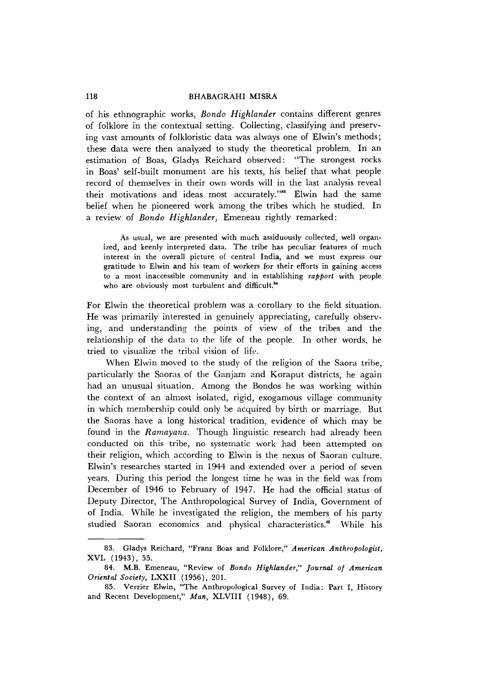of his ethnographic works *Bondo Highlander* contains different genres of folklore in the contextual setting. Collecting, classifying and preserving vast amounts of folkloristic data was always one of Elwin's methods; these data were then analyzed to study the theoretical problem. In an estimation of Boas, Gladys Reichard observed: "The strongest rocks in Boas' self-built monument are his texts, his belief that what people record of themselves in their own words will in the last analysis reveal their motivations and ideas most accurately."<sup>58</sup> Elwin had the same belief when he pioneered work among the tribes which he studied. In a review of *Bondo Highlander* Emeneau rightly remarked:

As usual, we are presented with much assiduously collected, well organized, and keenly interpreted data. The tribe has peculiar features of much interest in the overall picture of central India, and we must express our gratitude to Elwin and his team of workers for their efforts in gaining access to a most inaccessible community and in establishing *rapport* with people who are obviously most turbulent and difficult.<sup>84</sup>

For Elwin the theoretical problem was a corollary to the field situation. He was primarily interested in genuinely appreciating, carefully observing, and understanding the points of view of the tribes and the relationship of the data to the life of the people. In other words, he tried to visualize the tribal vision of life.

When Elwin moved to the study of the religion of the Saora tribe, particularly the Saoras of the Ganjam and Koraput districts, he again had an unusual situation. Among the Bondos he was working within the context of an almost isolated, rigid, exogamous village community in which membership could only be acquired by birth or marriage. But the Saoras have a long historical tradition, evidence of which may be found in the *Ramayana.* Though linguistic research had already been conducted on this tribe, no systematic work had been attempted on their religion,which according to Elwin is the nexus of Saoran culture. Elwin's researches started in 1944 and extended over a period of seven years. During this period the longest time he was in the field was from December of 1946 to February of 1947. He had the official status of Deputy Director, The Anthropological Survey of India, Government of of India. While he investigated the religion, the members of his party studied Saoran economics and physical characteristics.<sup>65</sup> While his

<sup>83.</sup> Gladys Reichard, "Franz Boas and Folklore," American Anthropologist, XVL (1943), 55.

<sup>84.</sup> M.B. Emeneau, "Review of *Bondo Highlander," Journal of American Oriental Society,* LXXII (1956), 201.

<sup>85.</sup> Verrier Elwin, "The Anthropological Survey of India: Part I, History and Recent Development," Man, XLVIII (1948), 69.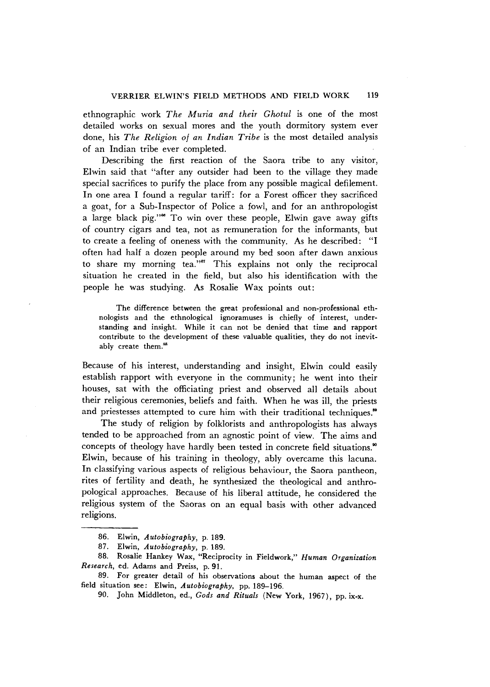ethnographic work *The Muria and their Ghotul* is one of the most detailed works on sexual mores and the youth dormitory system ever done, his *The Religion of an Indian Tribe* is the most detailed analysis of an Indian tribe ever completed.

Describing the first reaction of the Saora tribe to any visitor, Elwin said that "after any outsider had been to the village they made special sacrifices to purify the place from any possible magical defilement. In one area I found a regular tariff: for a Forest officer they sacrificed a goat, for a Sub-Inspector of Police a fowl, and for an anthropologist a large black pig."<sup>66</sup> To win over these people, Elwin gave away gifts of country cigars and tea, not as remuneration for the informants, but to create a feeling of oneness with the community. As he described: "I often had half a dozen people around my bed soon after dawn anxious to share my morning tea."87 This explains not only the reciprocal situation he created in the field, but also his identification with the people he was studying. As Rosalie Wax points out:

The difference between the great professional and non-professional ethnologists and the ethnological ignoramuses is chiefly of interest, understanding and insight. While it can not be denied that time and rapport contribute to the development of these valuable qualities, they do not inevitably create them.<sup>88</sup>

Because of his interest, understanding and insight, Elwin could easily establish rapport with everyone in the community; he went into their houses, sat with the officiating priest and observed all details about their religious ceremonies, beliefs and faith. When he was ill, the priests and priestesses attempted to cure him with their traditional techniques.<sup>89</sup>

The study of religion by folklorists and anthropologists has always tended to be approached from an agnostic point of view. The aims and concepts of theology have hardly been tested in concrete field situations.<sup>80</sup> Elwin, because of his training in theology, ably overcame this lacuna. In classifying various aspects of religious behaviour, the Saora pantheon, rites of fertility and death, he synthesized the theological and anthropological approaches. Because of his liberal attitude, he considered the religious system of the Saoras on an equal basis with other advanced religions.

<sup>86.</sup> Elwin, *Autobiography,* p. 189.

<sup>87.</sup> Elwin, *Autobiography* p. 189.

<sup>88.</sup> Rosalie Hankey Wax, "Reciprocity in Fieldwork," *Human Organization Research,* ed. Adams and Preiss, p. 91.

<sup>89.</sup> For greater detail of his observations about the human aspect of the field situation see: Elwin, *Autobiography*, pp. 189-196.

<sup>90.</sup> John Middleton, ed., Gods and Rituals (New York, 1967), pp. ix-x.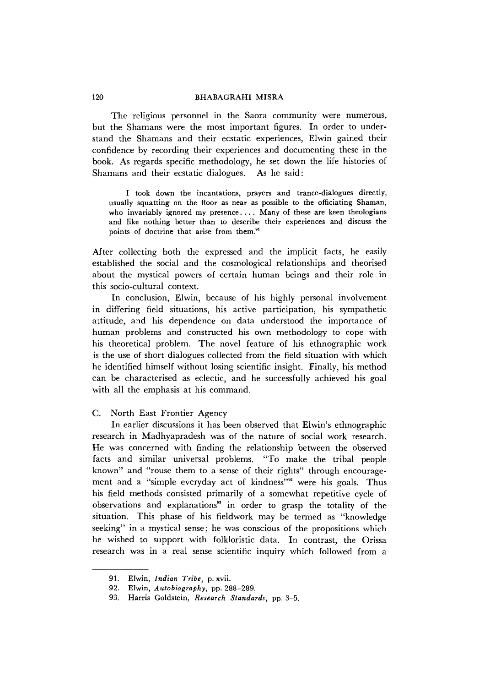#### i20 BHABAGRAHI MISRA

The religious personnel in the Saora community were numerous, but the Shamans were the most important figures. In order to understand the Shamans and their ecstatic experiences, Elwin gained their confidence by recording their experiences and documenting these in the book. As regards specific methodology, he set down the life histories of Shamans and their ecstatic dialogues. As he said:

I took down the incantations, prayers and trance-dialogues directly, usually squatting on the floor as near as possible to the officiating Shaman, who invariably ignored my presence. .. . Many of these are keen theologians and like nothing better than to describe their experiences and discuss the points of doctrine that arise from them.<sup>91</sup>

After collecting both the expressed and the implicit facts, he easily established the social and the cosmological relationships and theorised about the mystical powers of certain human beings and their role in this socio-cultural context.

In conclusion, Elwin, because of his highly personal involvement in differing field situations, his active participation, his sympathetic attitude, and his dependence on data understood the importance of human problems and constructed his own methodology to cope with his theoretical problem. The novel feature of his ethnographic work is the use of short dialogues collected from the field situation with which he identified himself without losing scientific insight. Finally, his method can be characterised as eclectic, and he successfully achieved his goal with all the emphasis at his command.

#### G. North East Frontier Agency

In earlier discussions it has been observed that Elwin's ethnographic research in Madhyapradesh was of the nature of social work research. He was concerned with finding the relationship between the observed facts and similar universal problems. "To make the tribal people known" and "rouse them to a sense of their rights" through encouragement and a "simple everyday act of kindness"<sup>32</sup> were his goals. Thus his field methods consisted primarily of a somewhat repetitive cycle of observations and explanations<sup>93</sup> in order to grasp the totality of the situation. This phase of his fieldwork may be termed as "knowledge seeking" in a mystical sense; he was conscious of the propositions which he wished to support with folkloristic data. In contrast, the Orissa research was in a real sense scientific inquiry which followed from a

<sup>91.</sup> Elwin, *Indian Tribe*, p. xvii.

<sup>92.</sup> Elwin, *Autobiography,* pp. 288-289.

<sup>93.</sup> Harris Goldstein, *Research Standards*, pp. 3-5.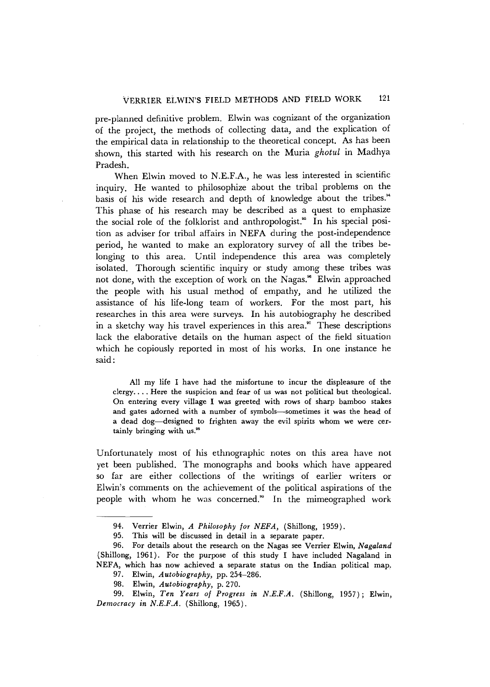pre-planned definitive problem. Elwin was cognizant of the organization of the project, the methods of collecting data, and the explication of the empirical data in relationship to the theoretical concept. As has been shown, this started with his research on the Muria *ghotul* in Madhya Pradesh.

When Elwin moved to N.E.F.A., he was less interested in scientific inquiry. He wanted to philosophize about the tribal problems on the basis of his wide research and depth of knowledge about the tribes.<sup>44</sup> This phase of his research may be described as a quest to emphasize the social role of the folklorist and anthropologist.<sup>85</sup> In his special position as adviser for tribal affairs in NEFA during the post-independence period, he wanted to make an exploratory survey of all the tribes belonging to this area. Until independence this area was completely isolated. Thorough scientific inquiry or study among these tribes was not done, with the exception of work on the Nagas.<sup>86</sup> Elwin approached the people with his usual method of empathy, and he utilized the assistance of his life-long team of workers. For the most part, his researches in this area were surveys. In his autobiography he described in a sketchy way his travel experiences in this area.<sup>87</sup> These descriptions lack the elaborative details on the human aspect of the field situation which he copiously reported in most of his works. In one instance he said:

All my life I have had the misfortune to incur the displeasure of the clergy. . . . Here the suspicion and fear of us was not political but theological. On entering every village I was greeted with rows of sharp bamboo stakes and gates adorned with a number of symbols— sometimes it was the head of a dead dog— designed to frighten away the evil spirits whom we were certainly bringing with us.<sup>98</sup>

Unfortunately most of his ethnographic notes on this area have not yet been published. The monographs and books which have appeared so far are either collections of the writings of earlier writers or Elwin's comments on the achievement of the political aspirations of the people with whom he was concerned." In the mimeographed work

<sup>94.</sup> Verrier Elwin, *A Philosophy for NEFA*, (Shillong, 1959).

<sup>95.</sup> This will be discussed in detail in a separate paper.

<sup>96.</sup> For details about the research on the Nagas see Verrier Elwin, *Nagaland* (Shillong, 1961). For the purpose of this study I have included Nagaland in NEFA, which has now achieved a separate status on the Indian political map.

<sup>97.</sup> Elwin, *Autobiography* pp. 254-286.

<sup>98.</sup> Elwin, *Autobiography,* p. 270.

<sup>99.</sup> Elwin, *Ten Years of Progress in N.E.F.A.* (Shillong, 1957); Elwin, *Democracy in N.E.F.A. (*Shillong, 1965).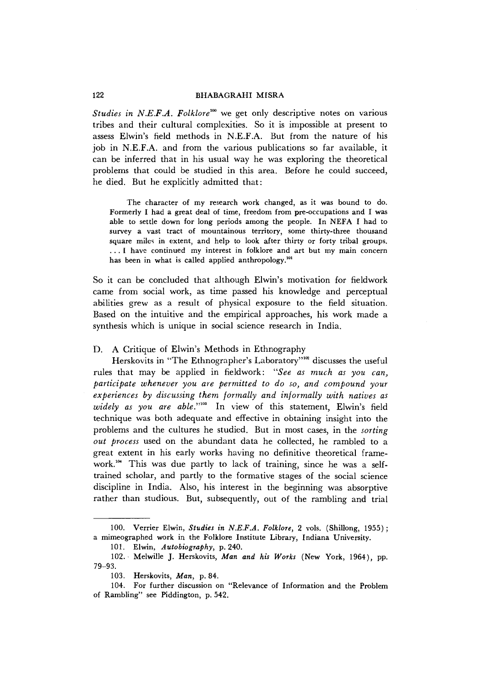*Studies in N.E.F.A. Folklore<sup>100</sup>* we get only descriptive notes on various tribes and their cultural complexities. So it is impossible at present to assess Elwin's field methods in N.E.F.A. But from the nature of his job in N.E.F.A. and from the various publications so far available, it can be inferred that in his usual way he was exploring the theoretical problems that could be studied in this area. Before he could succeed, he died. But he explicitly admitted that:

The character of my research work changed, as it was bound to do. Formerly I had a great deal of time, freedom from pre-occupations and I was able to settle down for long periods among the people. In NEFA I had to survey a vast tract of mountainous territory, some thirty-three thousand square miles in extent, and help to look after thirty or forty tribal groups. ... I have continued my interest in folklore and art but my main concern has been in what is called applied anthropology.<sup>101</sup>

So it can be concluded that although Elwin's motivation for fieldwork came from social work, as time passed his knowledge and perceptual abilities grew as a result of physical exposure to the field situation. Based on the intuitive and the empirical approaches, his work made a synthesis which is unique in social science research in India.

#### D. A Critique of Elwin's Methods in Ethnography

Herskovits in "The Ethnographer's Laboratory"<sup>102</sup> discusses the useful rules that may be applied in fieldwork: *"See as much as you can, participate whenever you are permitted to do so, and compound your experiences by discussing them formally and informally with natives as widely as you are able.*"<sup>103</sup> In view of this statement, Elwin's field technique was both adequate and effective in obtaining insight into the problems and the cultures he studied. But in most cases, in the *sorting out process* used on the abundant data he collected, he rambled to a great extent in his early works having no definitive theoretical framework.<sup>34</sup> This was due partly to lack of training, since he was a selftrained scholar, and partly to the formative stages of the social science discipline in India. Also, his interest in the beginning was absorptive rather than studious. But, subsequently, out of the rambling and trial

<sup>100.</sup> Verrier Elwin, *Studies in N.E.F.A. Folklore,* 2 vols. (Shillong, 1955); a mimeographed work in the Folklore Institute Library, Indiana University.

<sup>101.</sup> Elwin, *Autobiography* p. 240.

<sup>102.</sup> Melwille J. Herskovits, Man and his Works (New York, 1964), pp. 79-93.

<sup>103.</sup> Herskovits, *Man,* p. 84.

<sup>104.</sup> For further discussion on "Relevance of Information and the Problem of Rambling" see Piddington, p. 542.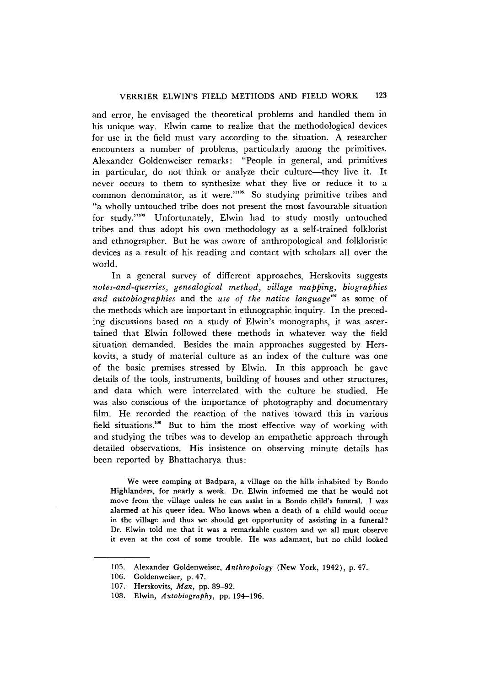and error, he envisaged the theoretical problems and handled them in his unique way. Elwin came to realize that the methodological devices for use in the field must vary according to the situation. A researcher encounters a number of problems, particularly among the primitives. Alexander Goldenweiser remarks: "People in general, and primitives in particular, do not think or analyze their culture—they live it. It never occurs to them to synthesize what they live or reduce it to a common denominator, as it were."<sup>105</sup> So studying primitive tribes and "a wholly untouched tribe does not present the most favourable situation for study."106 Unfortunately,Elwin had to study mostly untouched tribes and thus adopt his own methodology as a self-trained folklorist and ethnographer. But he was aware of anthropological and folkloristic devices as a result of his reading and contact with scholars all over the world.

In a general survey of different approaches, Herskovits suggests *notes-and-querries,genealogical method, village mapping, biographies* and autobiographies and the *use of the native language*<sup>107</sup> as some of the methods which are important in ethnographic inquiry. In the preceding discussions based on a study of Elwin's monographs, it was ascertained that Elwin followed these methods in whatever way the field situation demanded. Besides the main approaches suggested by Herskovits, a study of material culture as an index of the culture was one of the basic premises stressed by Elwin. In this approach he gave details of the tools, instruments, building of houses and other structures, and data which were interrelated with the culture he studied. He was also conscious of the importance of photography and documentary film. He recorded the reaction of the natives toward this in various field situations.108 But to him the most effective way of working with and studying the tribes was to develop an empathetic approach through detailed observations. His insistence on observing minute details has been reported by Bhattacharya thus:

We were camping at Badpara, a village on the hills inhabited by Bondo Highlanders, for nearly a week. Dr. Elwin informed me that he would not move from the village unless he can assist in a Bondo child's funeral. I was alarmed at his queer idea. Who knows when a death of a child would occur in the village and thus we should get opportunity of assisting in a funeral? Dr. Elwin told me that it was a remarkable custom and we all must observe it even at the cost of some trouble. He was adamant, but no child looked

Alexander Goldenweiser, Anthropology (New York, 1942), p. 47.  $105.$ 

Goldenweiser, p. 47. 06.

<sup>07.</sup> Herskovits, Man, pp. 89-92.

<sup>08.</sup> Elwin, *Autobiography*, pp. 194-196.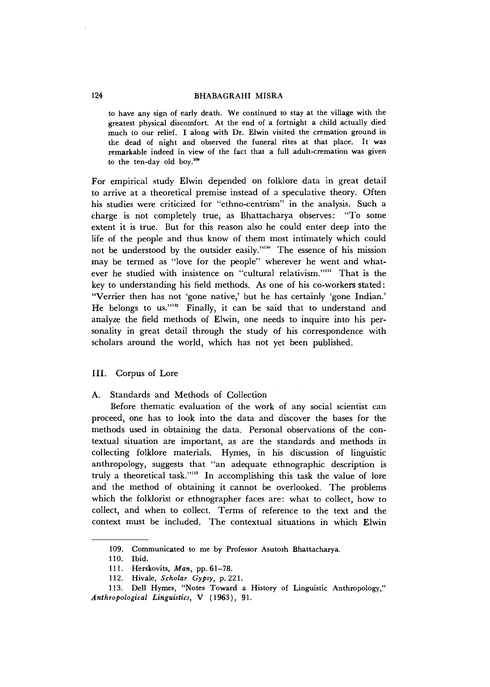to have any sign of early death. We continued to stay at the village with the greatest physical discomfort. At the end of a fortnight a child actually died much to our relief. I along with Dr. Elwin visited the cremation ground in the dead of night and observed the funeral rites at that place. It was remarkable indeed in view of the fact that a full adult-cremation was given to the ten-day old boy. $109$ 

For empirical study Elwin depended on folklore data in great detail to arrive at a theoretical premise instead of a speculative theory. Often his studies were criticized for "ethno-centrism" in the analysis. Such a charge is not completely true, as Bhattacharya observes: "To some extent it is true. But for this reason also he could enter deep into the life of the people and thus know of them most intimately which could not be understood by the outsider easily."<sup>110</sup> The essence of his mission may be termed as "love for the people" wherever he went and whatever he studied with insistence on "cultural relativism."<sup>111</sup> That is the key to understanding his field methods. As one of his co-workers stated: "Verrier then has not 'gone native,' but he has certainly 'gone Indian.' He belongs to us."<sup>112</sup> Finally, it can be said that to understand and analyze the field methods of Elwin, one needs to inquire into his personality in great detail through the study of his correspondence with scholars around the world, which has not yet been published.

III. Corpus of Lore

A. Standards and Methods of Collection

Before thematic evaluation of the work of any social scientist can proceed, one has to look into the data and discover the bases for the methods used in obtaining the data. Personal observations of the contextual situation are important, as are the standards and methods in collecting folklore materials. Hymes, in his discussion of linguistic anthropology, suggests that "an adequate ethnographic description is truly a theoretical task."<sup>113</sup> In accomplishing this task the value of lore and the method of obtaining it cannot be overlooked. The problems which the folklorist or ethnographer faces are: what to collect, how to collect, and when to collect. Terms of reference to the text and the context must be included. The contextual situations in which Elwin

<sup>109.</sup> Communicated to me by Professor Asutosh Bhattacharya.

<sup>110.</sup> Ibid.

<sup>111.</sup> Herskovits, *Man,* pp. 61-78.

<sup>112.</sup> Hivale, *Scholar Gypsy,* p. 221.

<sup>113.</sup> Dell Hymes, "Notes Toward a History of Linguistic Anthropology," *Anthropological Linguistics, V (1963), 91.*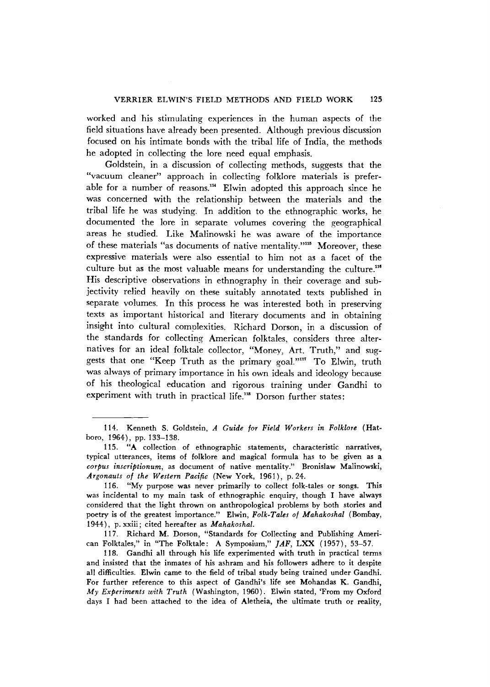worked and his stimulating experiences in the human aspects of the field situations have already been presented. Although previous discussion focused on his intimate bonds with the tribal life of India, the methods he adopted in collecting the lore need equal emphasis.

Goldstein, in a discussion of collecting methods, suggests that the "vacuum cleaner" approach in collecting folklore materials is preferable for a number of reasons.<sup>114</sup> Elwin adopted this approach since he was concerned with the relationship between the materials and the tribal life he was studying. In addition to the ethnographic works, he documented the lore in separate volumes covering the geographical areas he studied. Like Malinowski he was aware of the importance of these materials "as documents of native mentality."<sup>115</sup> Moreover, these expressive materials were also essential to him not as a facet of the culture but as the most valuable means for understanding the culture.<sup>116</sup> His descriptive observations in ethnography in their coverage and subjectivity relied heavily on these suitably annotated texts published in separate volumes. In this process he was interested both in preserving texts as important historical and literary documents and in obtaining insight into cultural complexities. Richard Dorson, in a discussion of the standards for collecting American folktales, considers three alternatives for an ideal folktale collector, "Money, Art, Truth," and suggests that one "Keep Truth as the primary goal."<sup>117</sup> To Elwin, truth was always of primary importance in his own ideals and ideology because of his theological education and rigorous training under Gandhi to experiment with truth in practical life.<sup>118</sup> Dorson further states:

<sup>114.</sup> Kenneth S. Goldstein, *A Guide for Field Workers in Folklore* (Hatboro, 1964), pp. 133-138.

<sup>115. &</sup>quot;A collection of ethnographic statements, characteristic narratives, typical utterances, items of folklore and magical formula has to be given as a *corpus inscriptionum,* as document of native mentality." Bronislaw Malinowski, *Argonauts of the Western Pacific* (New York, 1961), p. 24.

<sup>116. &</sup>quot;My purpose was never primarily to collect folk-tales or songs. This was incidental to my main task of ethnographic enquiry, though I have always considered that the light thrown on anthropological problems by both stories and poetry is of the greatest importance." Elwin, *Folk-Tales of Mahakoshal* (Bombay, 1944), p. xxiii; cited hereafter as *Mahakoshal.*

<sup>117.</sup> Richard M. Dorson, "Standards for Collecting and Publishing American Folktales," in "The Folktale: A Symposium," *JAF,* LXX (1957), 53-57.

<sup>118.</sup> Gandhi all through his life experimented with truth in practical terms and insisted that the inmates of his ashram and his followers adhere to it despite all difficulties. Elwin came to the field of tribal study being trained under Gandhi. For further reference to this aspect of Gandhi's life see Mohandas K. Gandhi, *My Experiments with Truth* (Washington, I960). Elwin stated, 'From my Oxford days I had been attached to the idea of Aletheia, the ultimate truth or reality,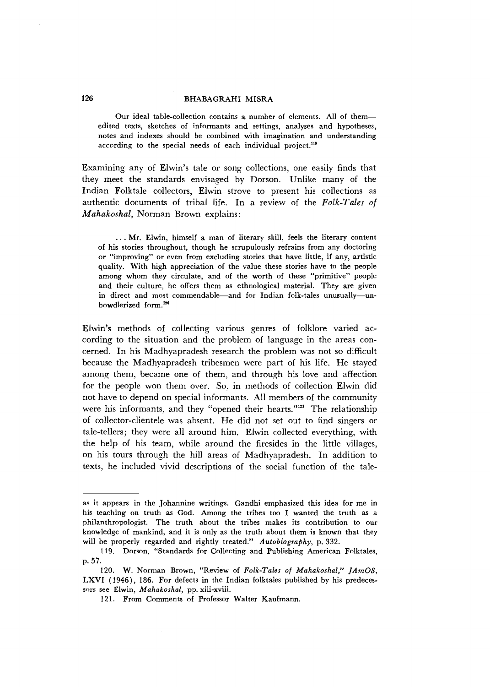Our ideal table-collection contains a number of elements. All of them edited texts, sketches of informants and settings, analyses and hypotheses, notes and indexes should be combined with imagination and understanding according to the special needs of each individual project.<sup>119</sup>

Examining any of Elwin's tale or song collections, one easily finds that they meet the standards envisaged by Dorson. Unlike many of the Indian Folktale collectors, Elwin strove to present his collections as authentic documents of tribal life. In a review of the *Folk-Tales of Mahakoshal,* Norman Brown explains:

. . . Mr. Elwin, himself a man of literary skill, feels the literary content of his stories throughout, though he scrupulously refrains from any doctoring or "improving" or even from excluding stories that have little, if any, artistic quality. With high appreciation of the value these stories have to the people among whom they circulate, and of the worth of these "primitive" people and their culture, he offers them as ethnological material. They are given in direct and most commendable—and for Indian folk-tales unusually—unbowdlerized form.120

Elwin's methods of collecting various genres of folklore varied according to the situation and the problem of language in the areas concerned. In his Madhyapradesh research the problem was not so difficult because the Madhyapradesh tribesmen were part of his life. He stayed among them, became one of them, and through his love and affection for the people won them over. So, in methods of collection Elwin did not have to depend on special informants. All members of the community were his informants, and they "opened their hearts."<sup>121</sup> The relationship of collector-clientele was absent. He did not set out to find singers or tale-tellers; they were all around him. Elwin collected everything, with the help of his team, while around the firesides in the little villages, on his tours through the hill areas of Madhyapradesh. In addition to texts, he included vivid descriptions of the social function of the tale-

as it appears in the Johannine writings. Gandhi emphasized this idea for me in his teaching on truth as God. Among the tribes too I wanted the truth as a philanthropologist. The truth about the tribes makes its contribution to our knowledge of mankind, and it is only as the truth about them is known that they will be properly regarded and rightly treated." *Autobiography,* p. 332.

<sup>119.</sup> Dorson, "Standards for Collecting and Publishing American Folktales, p. 57.

<sup>120.</sup> W. Norman Brown, "Review of *Folk-T ales of Mahakoshal/3 JAmOS,* LXVI (1946), 186. For defects in the Indian folktales published by his predecessors see Elwin, Mahakoshal, pp. xiii-xviii.

<sup>121.</sup> From Comments of Professor Walter Kaufmann.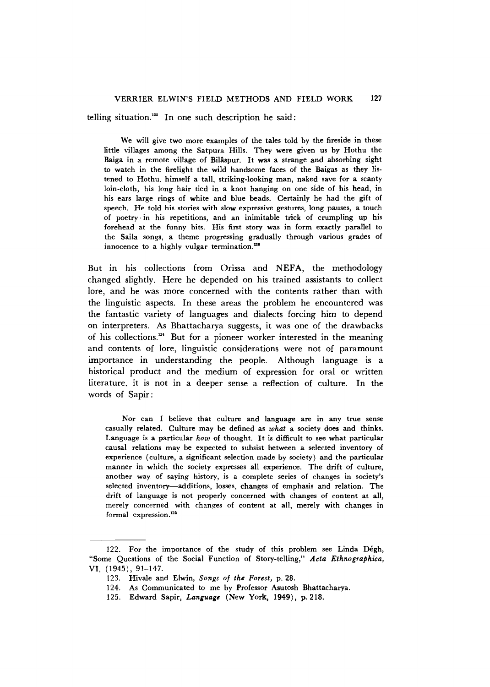telling situation.<sup>122</sup> In one such description he said:

We will give two more examples of the tales told by the fireside in these little villages among the Satpura Hills. They were given us by Hothu the Baiga in a remote village of Bilaspur. It was a strange and absorbing sight to watch in the firelight the wild handsome faces of the Baigas as they listened to Hothu, himself a tall, striking-looking man, naked save for a scanty loin-cloth, his long hair tied in a knot hanging on one side of his head, in his ears large rings of white and blue beads. Certainly he had the gift of speech. He told his stories with slow expressive gestures, long pauses, a touch of poetry • in his repetitions, and an inimitable trick of crumpling up his forehead at the funny bits. His first story was in form exactly parallel to the Saiia songs, a theme progressing gradually through various grades of innocence to a highly vulgar termination.<sup>228</sup>

But in his collections from Orissa and NEFA, the methodology changed slightly. Here he depended on his trained assistants to collect lore, and he was more concerned with the contents rather than with the linguistic aspects. In these areas the problem he encountered was the fantastic variety of languages and dialects forcing him to depend on interpreters. As Bhattacharya suggests, it was one of the drawbacks of his collections.124 But for a pioneer worker interested in the meaning and contents of lore, linguistic considerations were not of paramount importance in understanding the people. Although language is a historical product and the medium of expression for oral or written literature, it is not in a deeper sense a reflection of culture. In the words of Sapir:

Nor can I believe that culture and language are in any true sense casually related. Culture may be defined as *what* a society does and thinks. Language is a particular *how* of thought. It is difficult to see what particular causal relations may be expected to subsist between a selected inventory of experience (culture, a significant selection made by society) and the particular manner in which the society expresses all experience. The drift of culture, another way of saying history, is a complete series of changes in society's selected inventory—additions, losses, changes of emphasis and relation. The drift of language is not properly concerned with changes of content at all, merely concerned with changes of content at all, merely with changes in formal expression.125

<sup>122.</sup> For the importance of the study of this problem see Linda Dégh, "Some Questions of the Social Function of Story-telling," Acta Ethnographica, VI, (1945), 91-147.

<sup>123.</sup> Hivale and Elwin, *Songs of the Forest,* p. 28.

<sup>124.</sup> As Communicated to me by Professor Asutosh Bhattacharya.

<sup>125.</sup> Edward Sapir, *Language* (New York, 1949), p. 218.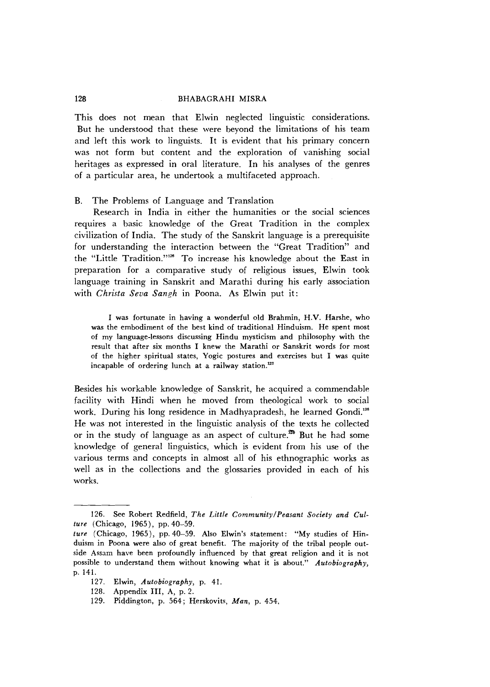This does not mean that Elwin neglected linguistic considerations. But he understood that these were beyond the limitations of his team and left this work to linguists. It is evident that his primary concern was not form but content and the exploration of vanishing social heritages as expressed in oral literature. In his analyses of the genres of a particular area, he undertook a multifaceted approach.

B. The Problems of Language and Translation

Research in India in either the humanities or the social sciences requires a basic knowledge of the Great Tradition in the complex civilization of India. The study of the Sanskrit language is a prerequisite for understanding the interaction between the "Great Tradition" and the "Little Tradition."<sup>128</sup> To increase his knowledge about the East in preparation for a comparative study of religious issues, Elwin took language training in Sanskrit and Marathi during his early association with *Christa Seva Sangh* in Poona. As Elwin put it:

I was fortunate in having a wonderful old Brahmin, H.V. Harshe, who was the embodiment of the best kind of traditional Hinduism. He spent most of my language-lessons discussing Hindu mysticism and philosophy with the result that after six months I knew the Marathi or Sanskrit words for most of the higher spiritual states, Yogic postures and exercises but 1 was quite incapable of ordering lunch at a railway station.<sup>127</sup>

Besides his workable knowledge of Sanskrit, he acquired a commendable facility with Hindi when he moved from theological work to social work. During his long residence in Madhyapradesh, he learned Gondi.<sup>128</sup> He was not interested in the linguistic analysis of the texts he collected or in the study of language as an aspect of culture.<sup>396</sup> But he had some knowledge of general linguistics, which is evident from his use of the various terms and concepts in almost all of his ethnographic works as well as in the collections and the glossaries provided in each of his works.

<sup>126.</sup> See Robert Redfield, *The Little Community/Peasant Society and Cul* $ture$  (Chicago, 1965), pp. 40-59.

ture (Chicago, 1965), pp. 40-59. Also Elwin's statement: "My studies of Hinduism in Poona were also of great benefit. The majority of the tribal people outside Assam have been profoundly influenced by that great religion and it is not possible to understand them without knowing what it is about." *Autobiography*, p. 141.

Elwin, *Autobiography,* p. 41.

<sup>128.</sup> Appendix III, A, p. 2.

Piddington, p. 564; Herskovits, *Man,* p. 454,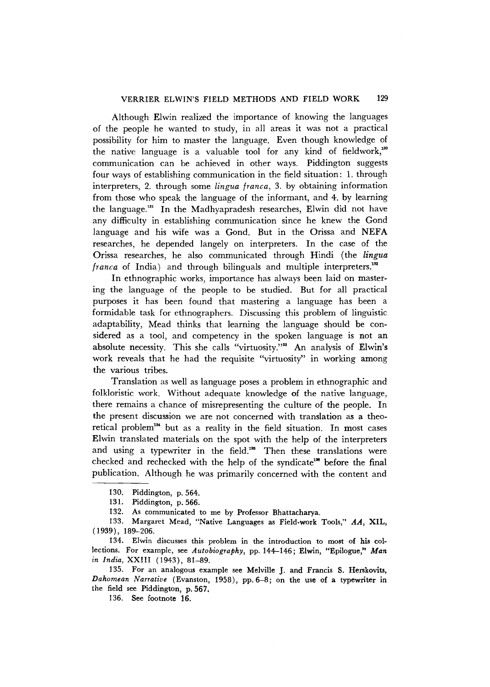# VERRIER ELWIN'S FIELD METHODS AND FIELD WORK 129

Although Elwin realized the importance of knowing the languages of the people he wanted to study, in all areas it was not a practical possibility for him to master the language. Even though knowledge of the native language is a valuable tool for any kind of fieldwork,<sup>130</sup> communication can be achieved in other ways. Piddington suggests four ways of establishing communication in the field situation: 1. through interpreters, 2. through some *lingua franca,* 3. by obtaining information from those who speak the language of the informant, and 4. by learning the language.131 In the Madhyapradesh researches, Elwin did not have any difficulty in establishing communication since he knew the Gond language and his wife was a Gond. But in the Orissa and NEFA researches, he depended langely on interpreters. In the case of the Orissa researches, he also communicated through Hindi (the *lingua franca* of India) and through bilinguals and multiple interpreters.<sup>132</sup>

In ethnographic works, importance has always been laid on mastering the language of the people to be studied. But for all practical purposes it has been found that mastering a language has been a formidable task for ethnographers. Discussing this problem of linguistic adaptability, Mead thinks that learning the language should be considered as a tool, and competency in the spoken language is not an absolute necessity. This she calls "virtuosity."<sup>33</sup> An analysis of Elwin's work reveals that he had the requisite "virtuosity" in working among the various tribes.

Translation as well as language poses a problem in ethnographic and folkloristic work. Without adequate knowledge of the native language, there remains a chance of misrepresenting the culture of the people. In the present discussion we are not concerned with translation as a theoretical problem<sup>134</sup> but as a reality in the field situation. In most cases Elwin translated materials on the spot with the help of the interpreters and using a typewriter in the field.<sup>185</sup> Then these translations were checked and rechecked with the help of the syndicate<sup>138</sup> before the final publication. Although he was primarily concerned with the content and

132. As communicated to me by Professor Bhattacharya.

133. Margaret Mead, "Native Languages as Field-work Tools," AA, XIL, (1939), 189-206.

134. Elwin discusses this problem in the introduction to most of his collections. For example, see *Autobiography*, pp. 144-146; Elwin, "Epilogue," Man *in India, XXIII* (1943), 81-89.

135. For an analogous example see Melville J. and Francis S. Herskovits, *Dahomean Narrative* (Evanston, 1958), pp. 6-8; on the use of a typewriter in the field see Piddington, p. 567,

136. See footnote 16.

<sup>130.</sup> Piddington, p. 564.

<sup>131.</sup> Piddington, p. 566.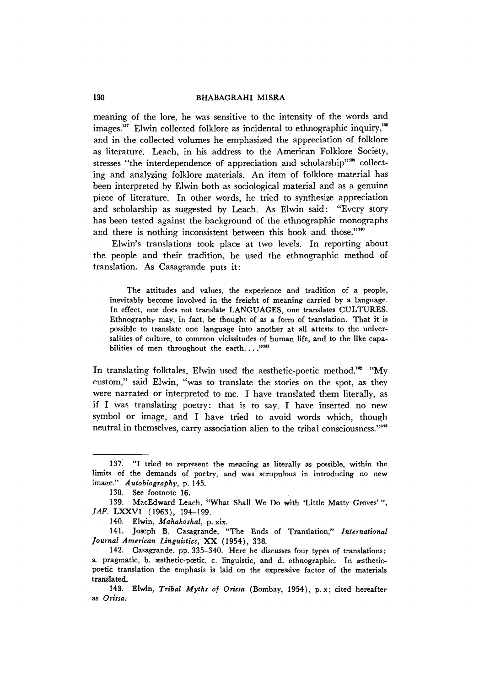meaning of the lore, he was sensitive to the intensity of the words and images.<sup>137</sup> Elwin collected folklore as incidental to ethnographic inquiry,<sup>138</sup> and in the collected volumes he emphasized the appreciation of folklore as literature. Leach, in his address to the American Folklore Society, stresses "the interdependence of appreciation and scholarship"<sup>189</sup> collecting and analyzing folklore materials. An item of folklore material has been interpreted by Elwin both as sociological material and as a genuine piece of literature. In other words, he tried to synthesize appreciation and scholarship as suggested by Leach. As Elwin said: "Every story has been tested against the background of the ethnographic monographs and there is nothing inconsistent between this book and those."<sup>140</sup>

Elwin's translations took place at two levels. In reporting about the people and their tradition, he used the ethnographic method of translation. As Casagrande puts it:

The attitudes and values, the experience and tradition of a people, inevitably become involved in the freight of meaning carried by a language. In effect, one does not translate LANGUAGES, one translates CULTURES. Ethnography may, in fact, be thought of as a form of translation. That it is possible to translate one language into another at all attests to the universalities of culture, to common vicissitudes of human life, and to the like capabilities of men throughout the earth...."<sup>141</sup>

In translating folktales, Elwin used the aesthetic-poetic method.<sup>142</sup> "My custom," said Elwin, "was to translate the stories on the spot, as they were narrated or interpreted to me. I have translated them literally, as if I was translating poetry: that is to say, I have inserted no new symbol or image, and I have tried to avoid words which, though neutral in themselves, carry association alien to the tribal consciousness."<sup>144</sup>

<sup>137. &</sup>quot;I tried to represent the meaning as literally as possible, within the limits of the demands of poetry, and was scrupulous in introducing no new image.55 *Autobiography,* p. 145.

<sup>138.</sup> See footnote 16.

<sup>139.</sup> MacEdward Leach, "What Shall We Do with 'Little Matty Groves'", *JAF.* LXXVI (1963), 194-199.

<sup>140.</sup> Elwin, *Mahakoshal,* p. xix.

<sup>141.</sup> Joseph B. Casagrande, "The Ends of Translation," International Journal American Linguistics, XX (1954), 338.

<sup>142.</sup> Casagrande. pp. 335-340. Here he discusses four types of translations: a. pragmatic, b. aesthetic-poetic, c.linguistic, and d. ethnographic. In aestheticpoetic translation the emphasis is laid on the expressive factor of the materials translated.

<sup>143.</sup> Elwin, *Tribal Myths of Orissa* (Bombay, 1954), p. x; cited hereafter as *Orissa.*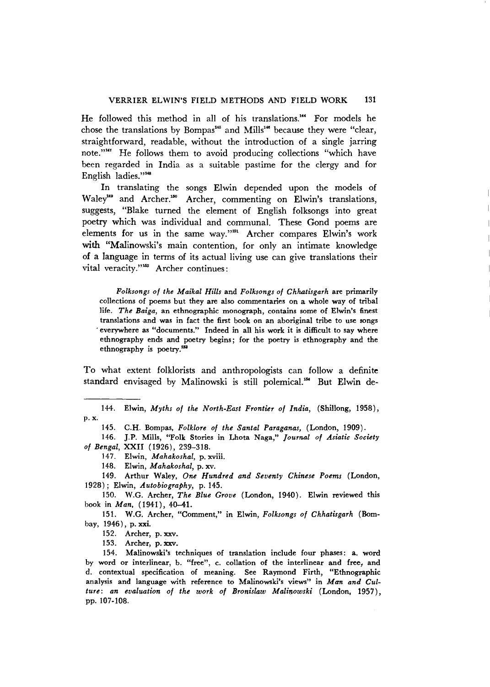He followed this method in all of his translations.<sup>44</sup> For models he chose the translations by Bompas<sup>145</sup> and Mills<sup>146</sup> because they were "clear, straightforward, readable, without the introduction of a single jarring note."<sup>47</sup> He follows them to avoid producing collections "which have been regarded in India as a suitable pastime for the clergy and for English ladies."148

In translating the songs Elwin depended upon the models of Waley<sup>149</sup> and Archer.<sup>180</sup> Archer, commenting on Elwin's translations, suggests,"Blake turned the element of English folksongs into great poetry which was individual and communal. These Gond poems are elements for us in the same way."<sup>151</sup> Archer compares Elwin's work with "Malinowski's main contention, for only an intimate knowledge of a language in terms of its actual living use can give translations their vital veracity."<sup>152</sup> Archer continues:

*Folksongs of the Maikal Hills* and *Folksongs of Chhatisgarh* are primarily collections of poems but they are also commentaries on a whole way of tribal life. *The Baiga,* an ethnographic monograph, contains some of Elwin's finest translations and was in fact the first book on an aboriginal tribe to use songs *•* everywhere as "documents." Indeed in all his work it is difficult to say where ethnography ends and poetry begins; for the poetry is ethnography and the ethnography is poetry.<sup>153</sup>

To what extent folklorists and anthropologists can follow a definite standard envisaged by Malinowski is still polemical.<sup>154</sup> But Elwin de-

144. Elwin, *Myths of the North-East Frontier of India*, (Shillong, 1958), p. x.

145. C.H. Bompas, *Folklore of the Santal Paraganas,* (London, 1909).

146. J.P. Mills, "Folk Stories in Lhota Naga," *Journal of Asiatic Society of Bengal,* X X II (1926), 239-318.

147. Elwin, *Mahakoshal*, p. xviii.

148. Elwin, *Mahakoshal,* p. xv.

149. Arthur Waley, *One Hundred and Seventy Chinese Poems* (London, 1928) ; Elwin, *Autobiography,* p. 145.

150. W.G. Archer, *The Blue Grove* (London, 1940). Elwin reviewed this book in *Man*, (1941), 40-41.

151. W.G. Archer, "Comment," in Elwin, *Folksongs of Chhatisgarh* (Bombay, 1946) p. xxi.

152. Archer, p. xxv.

153. Archer, p. Xxv.

154. Malinowski's techniques of translation include four phases: a. word by word or interlinear, b. "free", c. collation of the interlinear and free, and d. contextual specification of meaning. See Raymond Firth, "Ethnographic analysis and language with reference to Malinowski's views" in *Man and Culture : an evaluation of the work of Bronislaw Malinowski* (London, 1957), pp. 107-108.